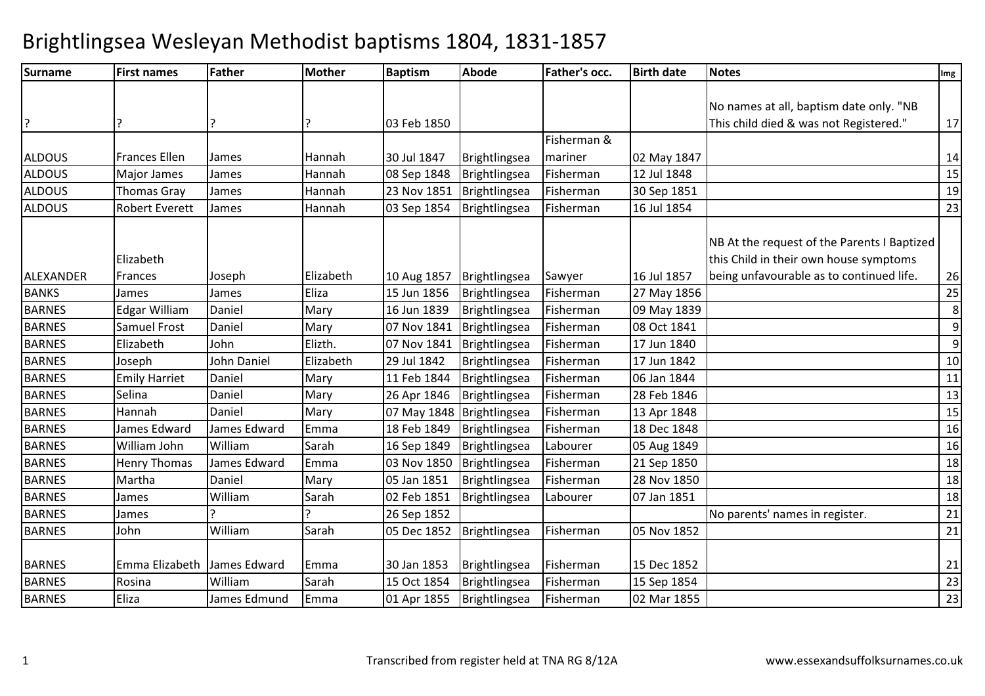| <b>Surname</b> | <b>First names</b>    | <b>Father</b>   | <b>Mother</b> | <b>Baptism</b> | Abode                          | Father's occ.       | <b>Birth date</b> | <b>Notes</b>                                                                          | Img     |
|----------------|-----------------------|-----------------|---------------|----------------|--------------------------------|---------------------|-------------------|---------------------------------------------------------------------------------------|---------|
|                |                       |                 |               |                |                                |                     |                   |                                                                                       |         |
|                |                       |                 |               |                |                                |                     |                   | No names at all, baptism date only. "NB                                               |         |
| ?              |                       |                 |               | 03 Feb 1850    |                                |                     |                   | This child died & was not Registered."                                                | 17      |
|                |                       |                 |               |                |                                | Fisherman &         |                   |                                                                                       |         |
| <b>ALDOUS</b>  | <b>Frances Ellen</b>  | James           | Hannah        | 30 Jul 1847    | Brightlingsea                  | mariner             | 02 May 1847       |                                                                                       | 14      |
| <b>ALDOUS</b>  | Major James           | James           | Hannah        | 08 Sep 1848    | Brightlingsea                  | Fisherman           | 12 Jul 1848       |                                                                                       | 15      |
| ALDOUS         | Thomas Gray           | James           | Hannah        | 23 Nov 1851    | Brightlingsea                  | Fisherman           | 30 Sep 1851       |                                                                                       | 19      |
| <b>ALDOUS</b>  | <b>Robert Everett</b> | James           | Hannah        | 03 Sep 1854    | Brightlingsea                  | Fisherman           | 16 Jul 1854       |                                                                                       | 23      |
|                | Elizabeth             |                 |               |                |                                |                     |                   | NB At the request of the Parents I Baptized<br>this Child in their own house symptoms |         |
| ALEXANDER      | Frances               |                 | Elizabeth     | 10 Aug 1857    |                                |                     | 16 Jul 1857       | being unfavourable as to continued life.                                              | 26      |
| <b>BANKS</b>   | James                 | Joseph<br>James | Eliza         | 15 Jun 1856    | Brightlingsea<br>Brightlingsea | Sawyer<br>Fisherman | 27 May 1856       |                                                                                       | 25      |
| <b>BARNES</b>  | <b>Edgar William</b>  | Daniel          | Mary          | 16 Jun 1839    | Brightlingsea                  | Fisherman           | 09 May 1839       |                                                                                       | $\bf 8$ |
| <b>BARNES</b>  | Samuel Frost          | Daniel          | Mary          | 07 Nov 1841    | Brightlingsea                  | Fisherman           | 08 Oct 1841       |                                                                                       | 9       |
| <b>BARNES</b>  | Elizabeth             | John            | Elizth.       | 07 Nov 1841    | Brightlingsea                  | Fisherman           | 17 Jun 1840       |                                                                                       | 9       |
| <b>BARNES</b>  | Joseph                | John Daniel     | Elizabeth     | 29 Jul 1842    | Brightlingsea                  | Fisherman           | 17 Jun 1842       |                                                                                       | 10      |
| <b>BARNES</b>  | <b>Emily Harriet</b>  | Daniel          | Mary          | 11 Feb 1844    | Brightlingsea                  | Fisherman           | 06 Jan 1844       |                                                                                       | 11      |
| <b>BARNES</b>  | Selina                | Daniel          | Mary          | 26 Apr 1846    | Brightlingsea                  | Fisherman           | 28 Feb 1846       |                                                                                       | 13      |
| <b>BARNES</b>  | Hannah                | Daniel          | Mary          | 07 May 1848    | Brightlingsea                  | Fisherman           | 13 Apr 1848       |                                                                                       | 15      |
| <b>BARNES</b>  | James Edward          | James Edward    | Emma          | 18 Feb 1849    | Brightlingsea                  | Fisherman           | 18 Dec 1848       |                                                                                       | 16      |
| <b>BARNES</b>  | William John          | William         | Sarah         | 16 Sep 1849    | Brightlingsea                  | Labourer            | 05 Aug 1849       |                                                                                       | 16      |
| <b>BARNES</b>  | <b>Henry Thomas</b>   | James Edward    | Emma          | 03 Nov 1850    | Brightlingsea                  | Fisherman           | 21 Sep 1850       |                                                                                       | 18      |
| <b>BARNES</b>  | Martha                | Daniel          | Mary          | 05 Jan 1851    | Brightlingsea                  | Fisherman           | 28 Nov 1850       |                                                                                       | 18      |
| <b>BARNES</b>  | James                 | William         | Sarah         | 02 Feb 1851    | <b>Brightlingsea</b>           | Labourer            | 07 Jan 1851       |                                                                                       | 18      |
| <b>BARNES</b>  | James                 |                 |               | 26 Sep 1852    |                                |                     |                   | No parents' names in register.                                                        | 21      |
| <b>BARNES</b>  | John                  | William         | Sarah         | 05 Dec 1852    | Brightlingsea                  | Fisherman           | 05 Nov 1852       |                                                                                       | 21      |
|                |                       |                 |               |                |                                |                     |                   |                                                                                       |         |
| <b>BARNES</b>  | Emma Elizabeth        | James Edward    | Emma          | 30 Jan 1853    | Brightlingsea                  | Fisherman           | 15 Dec 1852       |                                                                                       | 21      |
| <b>BARNES</b>  | Rosina                | William         | Sarah         | 15 Oct 1854    | Brightlingsea                  | Fisherman           | 15 Sep 1854       |                                                                                       | 23      |
| <b>BARNES</b>  | Eliza                 | James Edmund    | Emma          | 01 Apr 1855    | Brightlingsea                  | Fisherman           | 02 Mar 1855       |                                                                                       | 23      |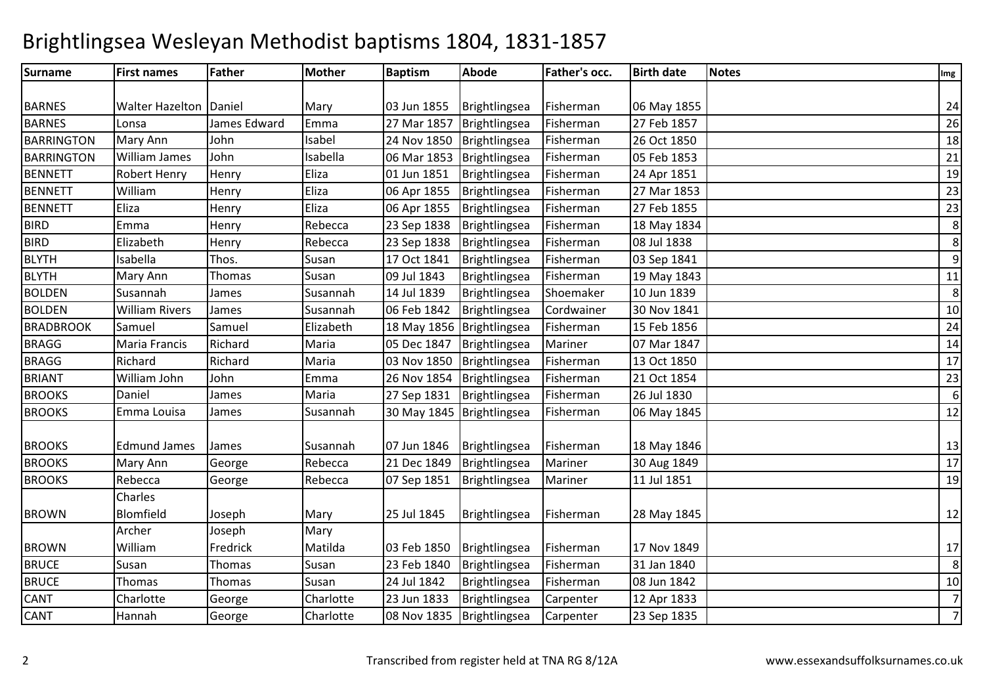| <b>Surname</b>    | <b>First names</b>     | <b>Father</b> | <b>Mother</b> | <b>Baptism</b> | Abode                          | Father's occ. | <b>Birth date</b> | <b>Notes</b> | Img            |
|-------------------|------------------------|---------------|---------------|----------------|--------------------------------|---------------|-------------------|--------------|----------------|
|                   |                        |               |               |                |                                |               |                   |              |                |
| <b>BARNES</b>     | <b>Walter Hazelton</b> | Daniel        | Mary          | 03 Jun 1855    | Brightlingsea                  | Fisherman     | 06 May 1855       |              | 24             |
| <b>BARNES</b>     | Lonsa                  | James Edward  | Emma          | 27 Mar 1857    | Brightlingsea                  | Fisherman     | 27 Feb 1857       |              | 26             |
| <b>BARRINGTON</b> | Mary Ann               | John          | Isabel        | 24 Nov 1850    | Brightlingsea                  | Fisherman     | 26 Oct 1850       |              | 18             |
| <b>BARRINGTON</b> | <b>William James</b>   | John          | Isabella      | 06 Mar 1853    | Brightlingsea                  | Fisherman     | 05 Feb 1853       |              | 21             |
| <b>BENNETT</b>    | <b>Robert Henry</b>    | Henry         | Eliza         | 01 Jun 1851    | Brightlingsea                  | Fisherman     | 24 Apr 1851       |              | 19             |
| <b>BENNETT</b>    | William                | Henry         | Eliza         | 06 Apr 1855    | Brightlingsea                  | Fisherman     | 27 Mar 1853       |              | 23             |
| <b>BENNETT</b>    | Eliza                  | Henry         | Eliza         | 06 Apr 1855    | Brightlingsea                  | Fisherman     | 27 Feb 1855       |              | 23             |
| <b>BIRD</b>       | Emma                   | Henry         | Rebecca       | 23 Sep 1838    | Brightlingsea                  | Fisherman     | 18 May 1834       |              | 8              |
| <b>BIRD</b>       | Elizabeth              | Henry         | Rebecca       | 23 Sep 1838    | Brightlingsea                  | Fisherman     | 08 Jul 1838       |              | 8              |
| <b>BLYTH</b>      | Isabella               | Thos.         | Susan         | 17 Oct 1841    | Brightlingsea                  | Fisherman     | 03 Sep 1841       |              | 9              |
| <b>BLYTH</b>      | Mary Ann               | Thomas        | Susan         | 09 Jul 1843    | Brightlingsea                  | Fisherman     | 19 May 1843       |              | 11             |
| <b>BOLDEN</b>     | Susannah               | James         | Susannah      | 14 Jul 1839    | Brightlingsea                  | Shoemaker     | 10 Jun 1839       |              | 8              |
| <b>BOLDEN</b>     | <b>William Rivers</b>  | James         | Susannah      | 06 Feb 1842    | Brightlingsea                  | Cordwainer    | 30 Nov 1841       |              | 10             |
| <b>BRADBROOK</b>  | Samuel                 | Samuel        | Elizabeth     |                | 18 May 1856   Brightlingsea    | Fisherman     | 15 Feb 1856       |              | 24             |
| <b>BRAGG</b>      | Maria Francis          | Richard       | Maria         | 05 Dec 1847    | Brightlingsea                  | Mariner       | 07 Mar 1847       |              | 14             |
| <b>BRAGG</b>      | Richard                | Richard       | Maria         | 03 Nov 1850    | Brightlingsea                  | Fisherman     | 13 Oct 1850       |              | 17             |
| <b>BRIANT</b>     | William John           | John          | Emma          | 26 Nov 1854    | Brightlingsea                  | Fisherman     | 21 Oct 1854       |              | 23             |
| <b>BROOKS</b>     | Daniel                 | James         | Maria         | 27 Sep 1831    | Brightlingsea                  | Fisherman     | 26 Jul 1830       |              | 6              |
| <b>BROOKS</b>     | Emma Louisa            | James         | Susannah      |                | 30 May 1845   Brightlingsea    | Fisherman     | 06 May 1845       |              | 12             |
| <b>BROOKS</b>     | <b>Edmund James</b>    | James         | Susannah      | 07 Jun 1846    |                                | Fisherman     | 18 May 1846       |              |                |
| <b>BROOKS</b>     | Mary Ann               |               | Rebecca       | 21 Dec 1849    | Brightlingsea<br>Brightlingsea | Mariner       | 30 Aug 1849       |              | 13<br>17       |
| <b>BROOKS</b>     | Rebecca                | George        | Rebecca       | 07 Sep 1851    | Brightlingsea                  | Mariner       | 11 Jul 1851       |              | 19             |
|                   | Charles                | George        |               |                |                                |               |                   |              |                |
| <b>BROWN</b>      | Blomfield              | Joseph        | Mary          | 25 Jul 1845    |                                | Fisherman     |                   |              |                |
|                   | Archer                 |               |               |                | Brightlingsea                  |               | 28 May 1845       |              | 12             |
|                   |                        | Joseph        | Mary          |                |                                |               |                   |              |                |
| <b>BROWN</b>      | William                | Fredrick      | Matilda       | 03 Feb 1850    | Brightlingsea                  | Fisherman     | 17 Nov 1849       |              | 17             |
| <b>BRUCE</b>      | Susan                  | Thomas        | Susan         | 23 Feb 1840    | Brightlingsea                  | Fisherman     | 31 Jan 1840       |              | 8              |
| <b>BRUCE</b>      | Thomas                 | Thomas        | Susan         | 24 Jul 1842    | Brightlingsea                  | Fisherman     | 08 Jun 1842       |              | 10             |
| CANT              | Charlotte              | George        | Charlotte     | 23 Jun 1833    | Brightlingsea                  | Carpenter     | 12 Apr 1833       |              | $\overline{7}$ |
| CANT              | Hannah                 | George        | Charlotte     | 08 Nov 1835    | Brightlingsea                  | Carpenter     | 23 Sep 1835       |              | $\overline{7}$ |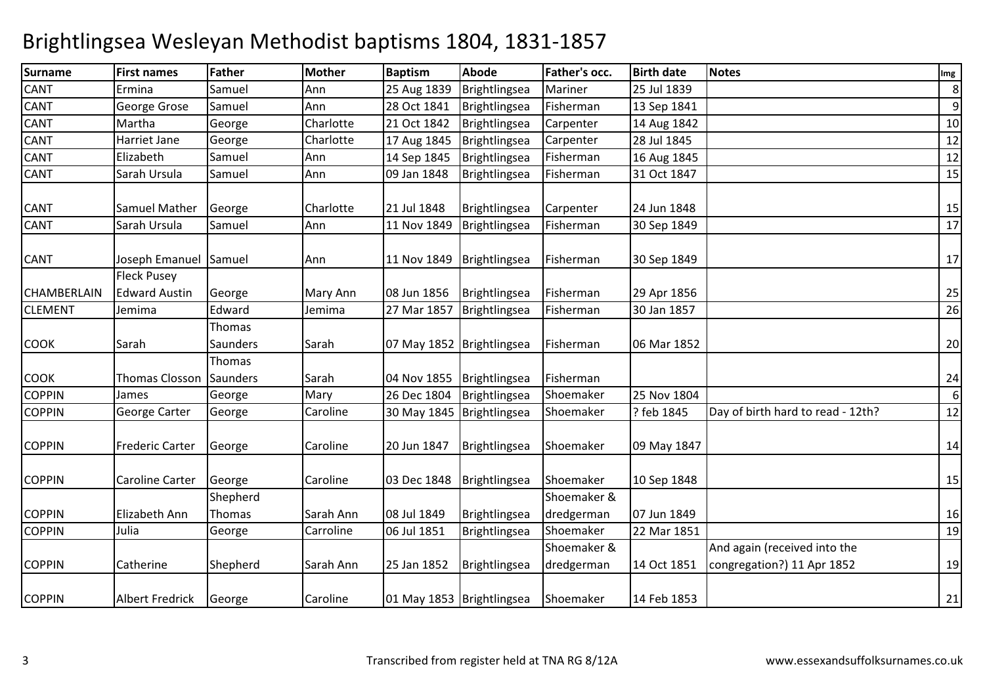| <b>Surname</b> | <b>First names</b>                         | <b>Father</b>                | <b>Mother</b> | <b>Baptism</b> | <b>Abode</b>                | <b>Father's occ.</b>      | <b>Birth date</b> | <b>Notes</b>                                               | Img |
|----------------|--------------------------------------------|------------------------------|---------------|----------------|-----------------------------|---------------------------|-------------------|------------------------------------------------------------|-----|
| CANT           | Ermina                                     | Samuel                       | Ann           | 25 Aug 1839    | Brightlingsea               | Mariner                   | 25 Jul 1839       |                                                            | 8   |
| CANT           | George Grose                               | Samuel                       | Ann           | 28 Oct 1841    | Brightlingsea               | Fisherman                 | 13 Sep 1841       |                                                            | 9   |
| CANT           | Martha                                     | George                       | Charlotte     | 21 Oct 1842    | Brightlingsea               | Carpenter                 | 14 Aug 1842       |                                                            | 10  |
| CANT           | Harriet Jane                               | George                       | Charlotte     | 17 Aug 1845    | Brightlingsea               | Carpenter                 | 28 Jul 1845       |                                                            | 12  |
| CANT           | Elizabeth                                  | Samuel                       | Ann           | 14 Sep 1845    | Brightlingsea               | Fisherman                 | 16 Aug 1845       |                                                            | 12  |
| <b>CANT</b>    | Sarah Ursula                               | Samuel                       | Ann           | 09 Jan 1848    | Brightlingsea               | Fisherman                 | 31 Oct 1847       |                                                            | 15  |
| CANT           | Samuel Mather                              | George                       | Charlotte     | 21 Jul 1848    | Brightlingsea               | Carpenter                 | 24 Jun 1848       |                                                            | 15  |
| CANT           | Sarah Ursula                               | Samuel                       | Ann           | 11 Nov 1849    | Brightlingsea               | Fisherman                 | 30 Sep 1849       |                                                            | 17  |
| CANT           | Joseph Emanuel                             | Samuel                       | Ann           | 11 Nov 1849    | Brightlingsea               | Fisherman                 | 30 Sep 1849       |                                                            | 17  |
| CHAMBERLAIN    | <b>Fleck Pusey</b><br><b>Edward Austin</b> | George                       | Mary Ann      | 08 Jun 1856    | Brightlingsea               | Fisherman                 | 29 Apr 1856       |                                                            | 25  |
| <b>CLEMENT</b> | Jemima                                     | Edward                       | Jemima        | 27 Mar 1857    | Brightlingsea               | Fisherman                 | 30 Jan 1857       |                                                            | 26  |
| <b>COOK</b>    | Sarah                                      | Thomas<br>Saunders<br>Thomas | Sarah         |                | 07 May 1852   Brightlingsea | Fisherman                 | 06 Mar 1852       |                                                            | 20  |
| <b>COOK</b>    | <b>Thomas Closson</b>                      | Saunders                     | Sarah         | 04 Nov 1855    | Brightlingsea               | Fisherman                 |                   |                                                            | 24  |
| <b>COPPIN</b>  | James                                      | George                       | Mary          | 26 Dec 1804    | Brightlingsea               | Shoemaker                 | 25 Nov 1804       |                                                            | 6   |
| <b>COPPIN</b>  | George Carter                              | George                       | Caroline      |                | 30 May 1845   Brightlingsea | Shoemaker                 | ? feb 1845        | Day of birth hard to read - 12th?                          | 12  |
| <b>COPPIN</b>  | Frederic Carter                            | George                       | Caroline      | 20 Jun 1847    | Brightlingsea               | Shoemaker                 | 09 May 1847       |                                                            | 14  |
| <b>COPPIN</b>  | Caroline Carter                            | George                       | Caroline      | 03 Dec 1848    | Brightlingsea               | Shoemaker                 | 10 Sep 1848       |                                                            | 15  |
| <b>COPPIN</b>  | Elizabeth Ann                              | Shepherd<br>Thomas           | Sarah Ann     | 08 Jul 1849    | Brightlingsea               | Shoemaker &<br>dredgerman | 07 Jun 1849       |                                                            | 16  |
| <b>COPPIN</b>  | Julia                                      | George                       | Carroline     | 06 Jul 1851    | Brightlingsea               | Shoemaker                 | 22 Mar 1851       |                                                            | 19  |
| <b>COPPIN</b>  | Catherine                                  | Shepherd                     | Sarah Ann     | 25 Jan 1852    | Brightlingsea               | Shoemaker &<br>dredgerman | 14 Oct 1851       | And again (received into the<br>congregation?) 11 Apr 1852 | 19  |
| <b>COPPIN</b>  | <b>Albert Fredrick</b>                     | George                       | Caroline      |                | 01 May 1853   Brightlingsea | Shoemaker                 | 14 Feb 1853       |                                                            | 21  |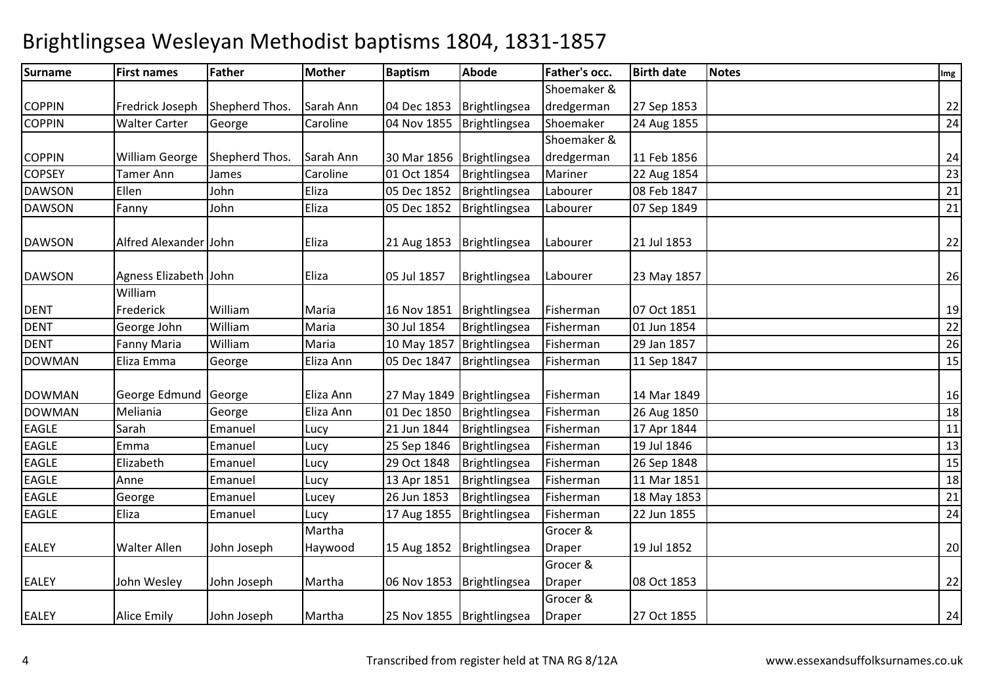| <b>Surname</b> | <b>First names</b>    | Father         | <b>Mother</b> | <b>Baptism</b>              | Abode                       | Father's occ. | <b>Birth date</b> | <b>Notes</b> | Img |
|----------------|-----------------------|----------------|---------------|-----------------------------|-----------------------------|---------------|-------------------|--------------|-----|
|                |                       |                |               |                             |                             | Shoemaker &   |                   |              |     |
| <b>COPPIN</b>  | Fredrick Joseph       | Shepherd Thos. | Sarah Ann     | 04 Dec 1853                 | Brightlingsea               | dredgerman    | 27 Sep 1853       |              | 22  |
| <b>COPPIN</b>  | <b>Walter Carter</b>  | George         | Caroline      | 04 Nov 1855                 | Brightlingsea               | Shoemaker     | 24 Aug 1855       |              | 24  |
|                |                       |                |               |                             |                             | Shoemaker &   |                   |              |     |
| <b>COPPIN</b>  | <b>William George</b> | Shepherd Thos. | Sarah Ann     | 30 Mar 1856   Brightlingsea |                             | dredgerman    | 11 Feb 1856       |              | 24  |
| <b>COPSEY</b>  | <b>Tamer Ann</b>      | James          | Caroline      | 01 Oct 1854                 | Brightlingsea               | Mariner       | 22 Aug 1854       |              | 23  |
| <b>DAWSON</b>  | Ellen                 | John           | Eliza         | 05 Dec 1852                 | Brightlingsea               | Labourer      | 08 Feb 1847       |              | 21  |
| <b>DAWSON</b>  | Fanny                 | John           | Eliza         | 05 Dec 1852                 | Brightlingsea               | Labourer      | 07 Sep 1849       |              | 21  |
| <b>DAWSON</b>  | Alfred Alexander John |                | Eliza         | 21 Aug 1853                 | Brightlingsea               | Labourer      | 21 Jul 1853       |              | 22  |
| <b>DAWSON</b>  | Agness Elizabeth John |                | Eliza         | 05 Jul 1857                 | Brightlingsea               | Labourer      | 23 May 1857       |              | 26  |
|                | William               |                |               |                             |                             |               |                   |              |     |
| <b>DENT</b>    | Frederick             | William        | Maria         | 16 Nov 1851                 | Brightlingsea               | Fisherman     | 07 Oct 1851       |              | 19  |
| <b>DENT</b>    | George John           | William        | Maria         | 30 Jul 1854                 | Brightlingsea               | Fisherman     | 01 Jun 1854       |              | 22  |
| <b>DENT</b>    | <b>Fanny Maria</b>    | William        | Maria         | 10 May 1857                 | Brightlingsea               | Fisherman     | 29 Jan 1857       |              | 26  |
| <b>DOWMAN</b>  | Eliza Emma            | George         | Eliza Ann     | 05 Dec 1847                 | Brightlingsea               | Fisherman     | 11 Sep 1847       |              | 15  |
| <b>DOWMAN</b>  | George Edmund         | George         | Eliza Ann     | 27 May 1849   Brightlingsea |                             | Fisherman     | 14 Mar 1849       |              | 16  |
| <b>DOWMAN</b>  | Meliania              | George         | Eliza Ann     | 01 Dec 1850                 | Brightlingsea               | Fisherman     | 26 Aug 1850       |              | 18  |
| <b>EAGLE</b>   | Sarah                 | Emanuel        | Lucy          | 21 Jun 1844                 | Brightlingsea               | Fisherman     | 17 Apr 1844       |              | 11  |
| <b>EAGLE</b>   | Emma                  | Emanuel        | Lucy          | 25 Sep 1846                 | Brightlingsea               | Fisherman     | 19 Jul 1846       |              | 13  |
| EAGLE          | Elizabeth             | Emanuel        | Lucy          | 29 Oct 1848                 | Brightlingsea               | Fisherman     | 26 Sep 1848       |              | 15  |
| EAGLE          | Anne                  | Emanuel        | Lucy          | 13 Apr 1851                 | Brightlingsea               | Fisherman     | 11 Mar 1851       |              | 18  |
| EAGLE          | George                | Emanuel        | Lucey         | 26 Jun 1853                 | Brightlingsea               | Fisherman     | 18 May 1853       |              | 21  |
| <b>EAGLE</b>   | Eliza                 | Emanuel        | Lucy          | 17 Aug 1855                 | Brightlingsea               | Fisherman     | 22 Jun 1855       |              | 24  |
|                |                       |                | Martha        |                             |                             | Grocer &      |                   |              |     |
| <b>EALEY</b>   | <b>Walter Allen</b>   | John Joseph    | Haywood       | 15 Aug 1852                 | Brightlingsea               | <b>Draper</b> | 19 Jul 1852       |              | 20  |
|                |                       |                |               |                             |                             | Grocer &      |                   |              |     |
| <b>EALEY</b>   | John Wesley           | John Joseph    | Martha        | 06 Nov 1853                 | Brightlingsea               | <b>Draper</b> | 08 Oct 1853       |              | 22  |
|                |                       |                |               |                             |                             | Grocer &      |                   |              |     |
| <b>EALEY</b>   | <b>Alice Emily</b>    | John Joseph    | Martha        |                             | 25 Nov 1855   Brightlingsea | <b>Draper</b> | 27 Oct 1855       |              | 24  |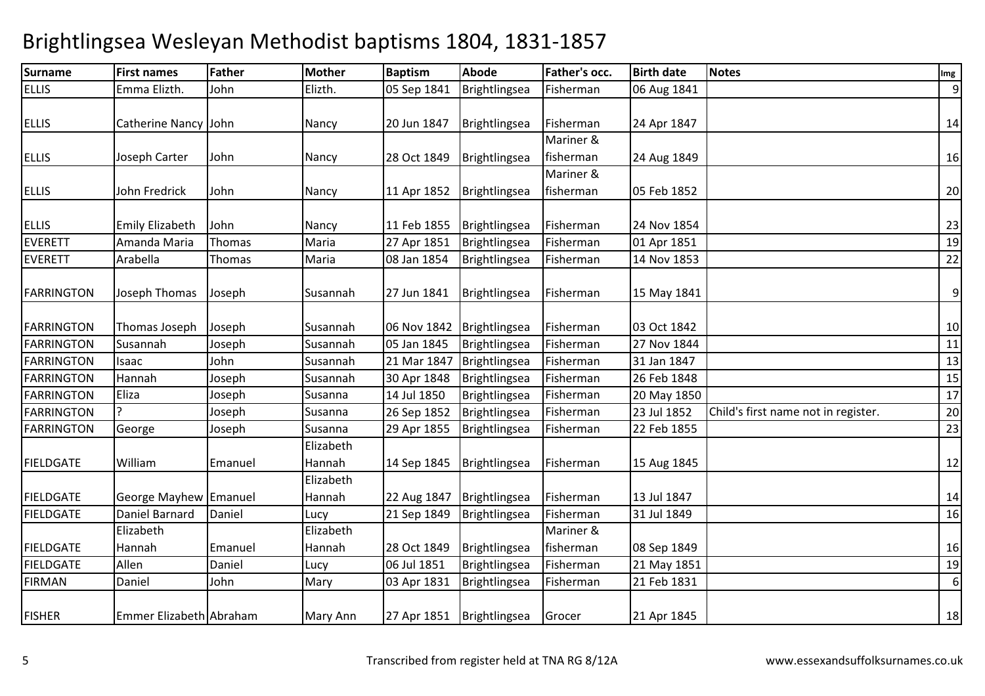| <b>Surname</b>    | <b>First names</b>      | <b>Father</b> | <b>Mother</b>       | <b>Baptism</b> | Abode         | Father's occ.          | <b>Birth date</b> | <b>Notes</b>                        | Img            |
|-------------------|-------------------------|---------------|---------------------|----------------|---------------|------------------------|-------------------|-------------------------------------|----------------|
| <b>ELLIS</b>      | Emma Elizth.            | John          | Elizth.             | 05 Sep 1841    | Brightlingsea | Fisherman              | 06 Aug 1841       |                                     | $\overline{9}$ |
| <b>ELLIS</b>      | Catherine Nancy John    |               | Nancy               | 20 Jun 1847    | Brightlingsea | Fisherman              | 24 Apr 1847       |                                     | 14             |
| <b>ELLIS</b>      | Joseph Carter           | John          | Nancy               | 28 Oct 1849    | Brightlingsea | Mariner &<br>fisherman | 24 Aug 1849       |                                     | 16             |
| <b>ELLIS</b>      | John Fredrick           | John          | Nancy               | 11 Apr 1852    | Brightlingsea | Mariner &<br>fisherman | 05 Feb 1852       |                                     | 20             |
| <b>ELLIS</b>      | Emily Elizabeth         | John          | Nancy               | 11 Feb 1855    | Brightlingsea | Fisherman              | 24 Nov 1854       |                                     | 23             |
| <b>EVERETT</b>    | Amanda Maria            | Thomas        | Maria               | 27 Apr 1851    | Brightlingsea | Fisherman              | 01 Apr 1851       |                                     | 19             |
| <b>EVERETT</b>    | Arabella                | Thomas        | Maria               | 08 Jan 1854    | Brightlingsea | Fisherman              | 14 Nov 1853       |                                     | 22             |
| <b>FARRINGTON</b> | Joseph Thomas           | Joseph        | Susannah            | 27 Jun 1841    | Brightlingsea | Fisherman              | 15 May 1841       |                                     | 9              |
| <b>FARRINGTON</b> | Thomas Joseph           | Joseph        | Susannah            | 06 Nov 1842    | Brightlingsea | Fisherman              | 03 Oct 1842       |                                     | 10             |
| <b>FARRINGTON</b> | Susannah                | Joseph        | Susannah            | 05 Jan 1845    | Brightlingsea | Fisherman              | 27 Nov 1844       |                                     | 11             |
| <b>FARRINGTON</b> | Isaac                   | John          | Susannah            | 21 Mar 1847    | Brightlingsea | Fisherman              | 31 Jan 1847       |                                     | 13             |
| <b>FARRINGTON</b> | Hannah                  | Joseph        | Susannah            | 30 Apr 1848    | Brightlingsea | Fisherman              | 26 Feb 1848       |                                     | 15             |
| <b>FARRINGTON</b> | Eliza                   | Joseph        | Susanna             | 14 Jul 1850    | Brightlingsea | Fisherman              | 20 May 1850       |                                     | 17             |
| <b>FARRINGTON</b> |                         | Joseph        | Susanna             | 26 Sep 1852    | Brightlingsea | Fisherman              | 23 Jul 1852       | Child's first name not in register. | 20             |
| <b>FARRINGTON</b> | George                  | Joseph        | Susanna             | 29 Apr 1855    | Brightlingsea | Fisherman              | 22 Feb 1855       |                                     | 23             |
| <b>FIELDGATE</b>  | William                 | Emanuel       | Elizabeth<br>Hannah | 14 Sep 1845    | Brightlingsea | Fisherman              | 15 Aug 1845       |                                     | 12             |
| <b>FIELDGATE</b>  | <b>George Mayhew</b>    | Emanuel       | Elizabeth<br>Hannah | 22 Aug 1847    | Brightlingsea | Fisherman              | 13 Jul 1847       |                                     | 14             |
| <b>FIELDGATE</b>  | Daniel Barnard          | Daniel        | Lucy                | 21 Sep 1849    | Brightlingsea | Fisherman              | 31 Jul 1849       |                                     | 16             |
|                   | Elizabeth               |               | Elizabeth           |                |               | Mariner &              |                   |                                     |                |
| <b>FIELDGATE</b>  | Hannah                  | Emanuel       | Hannah              | 28 Oct 1849    | Brightlingsea | fisherman              | 08 Sep 1849       |                                     | 16             |
| <b>FIELDGATE</b>  | Allen                   | Daniel        | Lucy                | 06 Jul 1851    | Brightlingsea | Fisherman              | 21 May 1851       |                                     | 19             |
| <b>FIRMAN</b>     | Daniel                  | John          | Mary                | 03 Apr 1831    | Brightlingsea | Fisherman              | 21 Feb 1831       |                                     | 6              |
| <b>FISHER</b>     | Emmer Elizabeth Abraham |               | Mary Ann            | 27 Apr 1851    | Brightlingsea | Grocer                 | 21 Apr 1845       |                                     | 18             |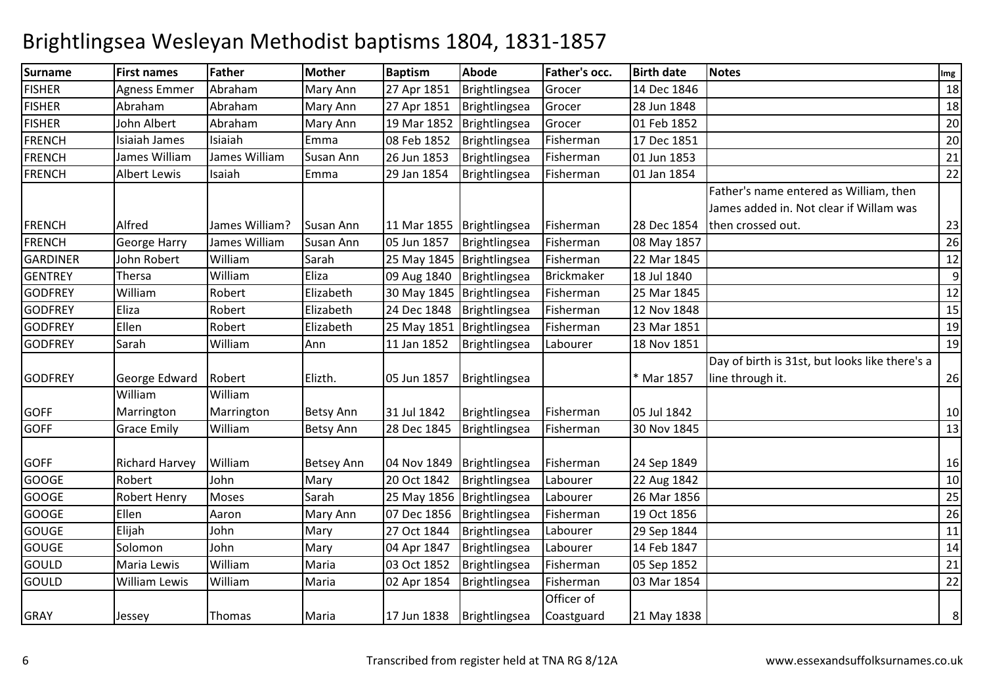| <b>Surname</b>  | <b>First names</b>    | <b>Father</b>         | <b>Mother</b>     | <b>Baptism</b> | Abode                       | <b>Father's occ.</b> | <b>Birth date</b> | <b>Notes</b>                                                                      | Img |
|-----------------|-----------------------|-----------------------|-------------------|----------------|-----------------------------|----------------------|-------------------|-----------------------------------------------------------------------------------|-----|
| <b>FISHER</b>   | <b>Agness Emmer</b>   | Abraham               | Mary Ann          | 27 Apr 1851    | Brightlingsea               | Grocer               | 14 Dec 1846       |                                                                                   | 18  |
| <b>FISHER</b>   | Abraham               | Abraham               | Mary Ann          | 27 Apr 1851    | Brightlingsea               | Grocer               | 28 Jun 1848       |                                                                                   | 18  |
| <b>FISHER</b>   | John Albert           | Abraham               | Mary Ann          | 19 Mar 1852    | Brightlingsea               | Grocer               | 01 Feb 1852       |                                                                                   | 20  |
| <b>FRENCH</b>   | Isiaiah James         | Isiaiah               | Emma              | 08 Feb 1852    | Brightlingsea               | Fisherman            | 17 Dec 1851       |                                                                                   | 20  |
| <b>FRENCH</b>   | James William         | James William         | <b>Susan Ann</b>  | 26 Jun 1853    | Brightlingsea               | Fisherman            | 01 Jun 1853       |                                                                                   | 21  |
| <b>FRENCH</b>   | <b>Albert Lewis</b>   | Isaiah                | Emma              | 29 Jan 1854    | Brightlingsea               | Fisherman            | 01 Jan 1854       |                                                                                   | 22  |
|                 |                       |                       |                   |                |                             |                      |                   | Father's name entered as William, then<br>James added in. Not clear if Willam was |     |
| <b>FRENCH</b>   | Alfred                | James William?        | Susan Ann         |                | 11 Mar 1855   Brightlingsea | Fisherman            | 28 Dec 1854       | then crossed out.                                                                 | 23  |
| <b>FRENCH</b>   | <b>George Harry</b>   | James William         | Susan Ann         | 05 Jun 1857    | Brightlingsea               | Fisherman            | 08 May 1857       |                                                                                   | 26  |
| <b>GARDINER</b> | John Robert           | William               | Sarah             |                | 25 May 1845   Brightlingsea | Fisherman            | 22 Mar 1845       |                                                                                   | 12  |
| <b>GENTREY</b>  | Thersa                | William               | Eliza             | 09 Aug 1840    | Brightlingsea               | <b>Brickmaker</b>    | 18 Jul 1840       |                                                                                   | 9   |
| <b>GODFREY</b>  | William               | Robert                | Elizabeth         |                | 30 May 1845   Brightlingsea | Fisherman            | 25 Mar 1845       |                                                                                   | 12  |
| <b>GODFREY</b>  | Eliza                 | Robert                | Elizabeth         | 24 Dec 1848    | Brightlingsea               | Fisherman            | 12 Nov 1848       |                                                                                   | 15  |
| <b>GODFREY</b>  | Ellen                 | Robert                | Elizabeth         |                | 25 May 1851 Brightlingsea   | Fisherman            | 23 Mar 1851       |                                                                                   | 19  |
| <b>GODFREY</b>  | Sarah                 | William               | Ann               | 11 Jan 1852    | Brightlingsea               | Labourer             | 18 Nov 1851       |                                                                                   | 19  |
| <b>GODFREY</b>  | George Edward         | Robert                | Elizth.           | 05 Jun 1857    | Brightlingsea               |                      | * Mar 1857        | Day of birth is 31st, but looks like there's a<br>line through it.                | 26  |
| <b>GOFF</b>     | William<br>Marrington | William<br>Marrington | <b>Betsy Ann</b>  | 31 Jul 1842    | Brightlingsea               | Fisherman            | 05 Jul 1842       |                                                                                   | 10  |
| <b>GOFF</b>     | <b>Grace Emily</b>    | William               | <b>Betsy Ann</b>  | 28 Dec 1845    | Brightlingsea               | Fisherman            | 30 Nov 1845       |                                                                                   | 13  |
| <b>GOFF</b>     | <b>Richard Harvey</b> | William               | <b>Betsey Ann</b> | 04 Nov 1849    | Brightlingsea               | Fisherman            | 24 Sep 1849       |                                                                                   | 16  |
| <b>GOOGE</b>    | Robert                | John                  | Mary              | 20 Oct 1842    | Brightlingsea               | Labourer             | 22 Aug 1842       |                                                                                   | 10  |
| <b>GOOGE</b>    | <b>Robert Henry</b>   | <b>Moses</b>          | Sarah             |                | 25 May 1856   Brightlingsea | Labourer             | 26 Mar 1856       |                                                                                   | 25  |
| <b>GOOGE</b>    | Ellen                 | Aaron                 | Mary Ann          | 07 Dec 1856    | Brightlingsea               | Fisherman            | 19 Oct 1856       |                                                                                   | 26  |
| <b>GOUGE</b>    | Elijah                | John                  | Mary              | 27 Oct 1844    | Brightlingsea               | Labourer             | 29 Sep 1844       |                                                                                   | 11  |
| <b>GOUGE</b>    | Solomon               | John                  | Mary              | 04 Apr 1847    | Brightlingsea               | Labourer             | 14 Feb 1847       |                                                                                   | 14  |
| GOULD           | Maria Lewis           | William               | Maria             | 03 Oct 1852    | Brightlingsea               | Fisherman            | 05 Sep 1852       |                                                                                   | 21  |
| GOULD           | <b>William Lewis</b>  | William               | Maria             | 02 Apr 1854    | Brightlingsea               | Fisherman            | 03 Mar 1854       |                                                                                   | 22  |
|                 |                       |                       |                   |                |                             | Officer of           |                   |                                                                                   |     |
| <b>GRAY</b>     | Jessey                | Thomas                | Maria             | 17 Jun 1838    | Brightlingsea               | Coastguard           | 21 May 1838       |                                                                                   | 8   |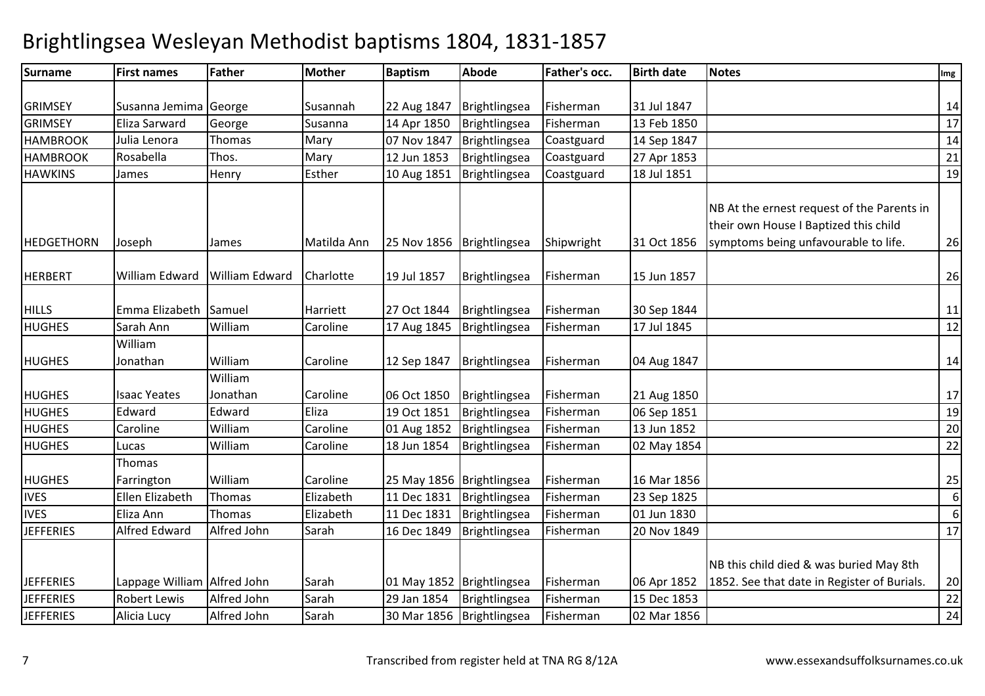| <b>Surname</b>    | <b>First names</b>          | <b>Father</b>  | <b>Mother</b> | <b>Baptism</b> | Abode                       | <b>Father's occ.</b> | <b>Birth date</b> | <b>Notes</b>                                                                        | Img |
|-------------------|-----------------------------|----------------|---------------|----------------|-----------------------------|----------------------|-------------------|-------------------------------------------------------------------------------------|-----|
|                   |                             |                |               |                |                             |                      |                   |                                                                                     |     |
| <b>GRIMSEY</b>    | Susanna Jemima George       |                | Susannah      | 22 Aug 1847    | Brightlingsea               | Fisherman            | 31 Jul 1847       |                                                                                     | 14  |
| <b>GRIMSEY</b>    | Eliza Sarward               | George         | Susanna       | 14 Apr 1850    | Brightlingsea               | Fisherman            | 13 Feb 1850       |                                                                                     | 17  |
| <b>HAMBROOK</b>   | Julia Lenora                | Thomas         | Mary          | 07 Nov 1847    | Brightlingsea               | Coastguard           | 14 Sep 1847       |                                                                                     | 14  |
| <b>HAMBROOK</b>   | Rosabella                   | Thos.          | Mary          | 12 Jun 1853    | Brightlingsea               | Coastguard           | 27 Apr 1853       |                                                                                     | 21  |
| <b>HAWKINS</b>    | James                       | Henry          | Esther        | 10 Aug 1851    | Brightlingsea               | Coastguard           | 18 Jul 1851       |                                                                                     | 19  |
|                   |                             |                |               |                |                             |                      |                   | NB At the ernest request of the Parents in<br>their own House I Baptized this child |     |
| <b>HEDGETHORN</b> | Joseph                      | James          | Matilda Ann   | 25 Nov 1856    | Brightlingsea               | Shipwright           | 31 Oct 1856       | symptoms being unfavourable to life.                                                | 26  |
| <b>HERBERT</b>    | William Edward              | William Edward | Charlotte     | 19 Jul 1857    | Brightlingsea               | Fisherman            | 15 Jun 1857       |                                                                                     | 26  |
| <b>HILLS</b>      | Emma Elizabeth              | Samuel         | Harriett      | 27 Oct 1844    | Brightlingsea               | Fisherman            | 30 Sep 1844       |                                                                                     | 11  |
| <b>HUGHES</b>     | Sarah Ann                   | William        | Caroline      | 17 Aug 1845    | Brightlingsea               | Fisherman            | 17 Jul 1845       |                                                                                     | 12  |
|                   | William                     |                |               |                |                             |                      |                   |                                                                                     |     |
| <b>HUGHES</b>     | Jonathan                    | William        | Caroline      | 12 Sep 1847    | Brightlingsea               | Fisherman            | 04 Aug 1847       |                                                                                     | 14  |
|                   |                             | William        |               |                |                             |                      |                   |                                                                                     |     |
| <b>HUGHES</b>     | <b>Isaac Yeates</b>         | Jonathan       | Caroline      | 06 Oct 1850    | Brightlingsea               | Fisherman            | 21 Aug 1850       |                                                                                     | 17  |
| <b>HUGHES</b>     | Edward                      | Edward         | Eliza         | 19 Oct 1851    | Brightlingsea               | Fisherman            | 06 Sep 1851       |                                                                                     | 19  |
| <b>HUGHES</b>     | Caroline                    | William        | Caroline      | 01 Aug 1852    | Brightlingsea               | Fisherman            | 13 Jun 1852       |                                                                                     | 20  |
| <b>HUGHES</b>     | Lucas                       | William        | Caroline      | 18 Jun 1854    | Brightlingsea               | Fisherman            | 02 May 1854       |                                                                                     | 22  |
|                   | Thomas                      |                |               |                |                             |                      |                   |                                                                                     |     |
| <b>HUGHES</b>     | Farrington                  | William        | Caroline      |                | 25 May 1856   Brightlingsea | Fisherman            | 16 Mar 1856       |                                                                                     | 25  |
| <b>IVES</b>       | Ellen Elizabeth             | Thomas         | Elizabeth     | 11 Dec 1831    | Brightlingsea               | Fisherman            | 23 Sep 1825       |                                                                                     | 6   |
| <b>IVES</b>       | Eliza Ann                   | Thomas         | Elizabeth     | 11 Dec 1831    | Brightlingsea               | Fisherman            | 01 Jun 1830       |                                                                                     | 6   |
| <b>JEFFERIES</b>  | Alfred Edward               | Alfred John    | Sarah         | 16 Dec 1849    | Brightlingsea               | Fisherman            | 20 Nov 1849       |                                                                                     | 17  |
|                   |                             |                |               |                |                             |                      |                   | NB this child died & was buried May 8th                                             |     |
| <b>JEFFERIES</b>  | Lappage William Alfred John |                | Sarah         |                | 01 May 1852   Brightlingsea | Fisherman            | 06 Apr 1852       | 1852. See that date in Register of Burials.                                         | 20  |
| <b>JEFFERIES</b>  | <b>Robert Lewis</b>         | Alfred John    | Sarah         | 29 Jan 1854    | Brightlingsea               | Fisherman            | 15 Dec 1853       |                                                                                     | 22  |
| <b>JEFFERIES</b>  | Alicia Lucy                 | Alfred John    | Sarah         |                | 30 Mar 1856   Brightlingsea | Fisherman            | 02 Mar 1856       |                                                                                     | 24  |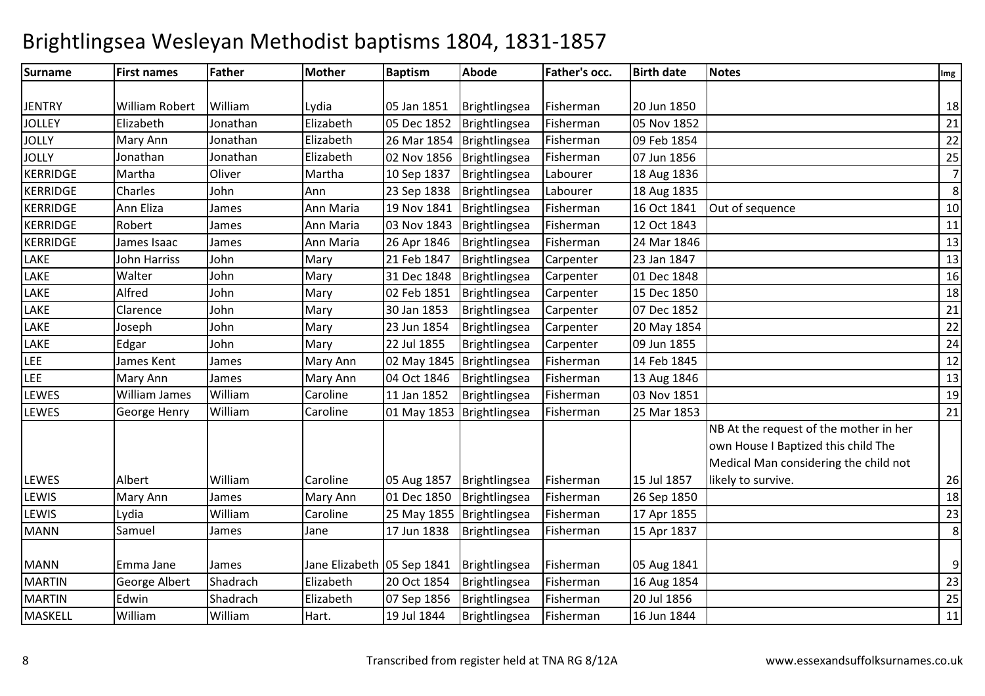| <b>Surname</b>  | <b>First names</b>   | <b>Father</b> | <b>Mother</b>              | <b>Baptism</b> | Abode                       | <b>Father's occ.</b> | <b>Birth date</b> | <b>Notes</b>                                                                                                           | Img            |
|-----------------|----------------------|---------------|----------------------------|----------------|-----------------------------|----------------------|-------------------|------------------------------------------------------------------------------------------------------------------------|----------------|
|                 |                      |               |                            |                |                             |                      |                   |                                                                                                                        |                |
| <b>JENTRY</b>   | William Robert       | William       | Lydia                      | 05 Jan 1851    | Brightlingsea               | Fisherman            | 20 Jun 1850       |                                                                                                                        | 18             |
| <b>JOLLEY</b>   | Elizabeth            | Jonathan      | Elizabeth                  | 05 Dec 1852    | Brightlingsea               | Fisherman            | 05 Nov 1852       |                                                                                                                        | 21             |
| <b>JOLLY</b>    | Mary Ann             | Jonathan      | Elizabeth                  | 26 Mar 1854    | Brightlingsea               | Fisherman            | 09 Feb 1854       |                                                                                                                        | 22             |
| <b>JOLLY</b>    | Jonathan             | Jonathan      | Elizabeth                  | 02 Nov 1856    | Brightlingsea               | Fisherman            | 07 Jun 1856       |                                                                                                                        | 25             |
| <b>KERRIDGE</b> | Martha               | Oliver        | Martha                     | 10 Sep 1837    | Brightlingsea               | Labourer             | 18 Aug 1836       |                                                                                                                        | $\overline{7}$ |
| <b>KERRIDGE</b> | Charles              | John          | Ann                        | 23 Sep 1838    | Brightlingsea               | Labourer             | 18 Aug 1835       |                                                                                                                        | 8              |
| <b>KERRIDGE</b> | Ann Eliza            | James         | Ann Maria                  | 19 Nov 1841    | Brightlingsea               | Fisherman            | 16 Oct 1841       | Out of sequence                                                                                                        | 10             |
| <b>KERRIDGE</b> | Robert               | James         | Ann Maria                  | 03 Nov 1843    | Brightlingsea               | Fisherman            | 12 Oct 1843       |                                                                                                                        | 11             |
| <b>KERRIDGE</b> | James Isaac          | James         | Ann Maria                  | 26 Apr 1846    | Brightlingsea               | Fisherman            | 24 Mar 1846       |                                                                                                                        | 13             |
| LAKE            | John Harriss         | John          | Mary                       | 21 Feb 1847    | Brightlingsea               | Carpenter            | 23 Jan 1847       |                                                                                                                        | 13             |
| LAKE            | Walter               | John          | Mary                       | 31 Dec 1848    | Brightlingsea               | Carpenter            | 01 Dec 1848       |                                                                                                                        | 16             |
| LAKE            | Alfred               | John          | Mary                       | 02 Feb 1851    | Brightlingsea               | Carpenter            | 15 Dec 1850       |                                                                                                                        | 18             |
| LAKE            | Clarence             | John          | Mary                       | 30 Jan 1853    | Brightlingsea               | Carpenter            | 07 Dec 1852       |                                                                                                                        | 21             |
| LAKE            | Joseph               | John          | Mary                       | 23 Jun 1854    | Brightlingsea               | Carpenter            | 20 May 1854       |                                                                                                                        | 22             |
| LAKE            | Edgar                | John          | Mary                       | 22 Jul 1855    | Brightlingsea               | Carpenter            | 09 Jun 1855       |                                                                                                                        | 24             |
| LEE             | James Kent           | James         | Mary Ann                   |                | 02 May 1845   Brightlingsea | Fisherman            | 14 Feb 1845       |                                                                                                                        | 12             |
| LEE             | Mary Ann             | James         | Mary Ann                   | 04 Oct 1846    | Brightlingsea               | Fisherman            | 13 Aug 1846       |                                                                                                                        | 13             |
| LEWES           | <b>William James</b> | William       | Caroline                   | 11 Jan 1852    | Brightlingsea               | Fisherman            | 03 Nov 1851       |                                                                                                                        | 19             |
| <b>LEWES</b>    | George Henry         | William       | Caroline                   |                | 01 May 1853   Brightlingsea | Fisherman            | 25 Mar 1853       |                                                                                                                        | 21             |
|                 |                      |               |                            |                |                             |                      |                   | NB At the request of the mother in her<br>own House I Baptized this child The<br>Medical Man considering the child not |                |
| LEWES           | Albert               | William       | Caroline                   | 05 Aug 1857    | Brightlingsea               | Fisherman            | 15 Jul 1857       | likely to survive.                                                                                                     | 26             |
| LEWIS           | Mary Ann             | James         | Mary Ann                   | 01 Dec 1850    | Brightlingsea               | Fisherman            | 26 Sep 1850       |                                                                                                                        | 18             |
| LEWIS           | Lydia                | William       | Caroline                   |                | 25 May 1855 Brightlingsea   | Fisherman            | 17 Apr 1855       |                                                                                                                        | 23             |
| <b>MANN</b>     | Samuel               | James         | Jane                       | 17 Jun 1838    | Brightlingsea               | Fisherman            | 15 Apr 1837       |                                                                                                                        | 8              |
| <b>MANN</b>     | Emma Jane            | James         | Jane Elizabeth 05 Sep 1841 |                | Brightlingsea               | Fisherman            | 05 Aug 1841       |                                                                                                                        | 9              |
| <b>MARTIN</b>   | George Albert        | Shadrach      | Elizabeth                  | 20 Oct 1854    | Brightlingsea               | Fisherman            | 16 Aug 1854       |                                                                                                                        | 23             |
| <b>MARTIN</b>   | Edwin                | Shadrach      | Elizabeth                  | 07 Sep 1856    | Brightlingsea               | Fisherman            | 20 Jul 1856       |                                                                                                                        | 25             |
| MASKELL         | William              | William       | Hart.                      | 19 Jul 1844    | Brightlingsea               | Fisherman            | 16 Jun 1844       |                                                                                                                        | 11             |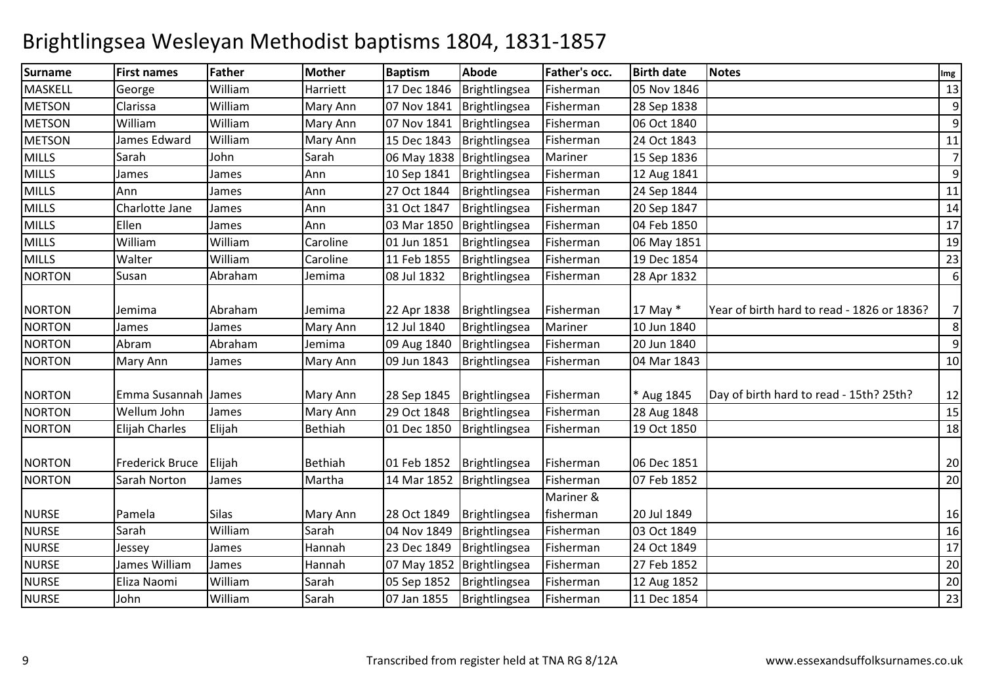| <b>Surname</b> | <b>First names</b>     | <b>Father</b> | <b>Mother</b>  | <b>Baptism</b> | Abode                       | <b>Father's occ.</b> | <b>Birth date</b> | <b>Notes</b>                               | Img            |
|----------------|------------------------|---------------|----------------|----------------|-----------------------------|----------------------|-------------------|--------------------------------------------|----------------|
| MASKELL        | George                 | William       | Harriett       | 17 Dec 1846    | Brightlingsea               | Fisherman            | 05 Nov 1846       |                                            | 13             |
| <b>METSON</b>  | Clarissa               | William       | Mary Ann       | 07 Nov 1841    | Brightlingsea               | Fisherman            | 28 Sep 1838       |                                            | 9              |
| <b>METSON</b>  | William                | William       | Mary Ann       | 07 Nov 1841    | Brightlingsea               | Fisherman            | 06 Oct 1840       |                                            | 9              |
| <b>METSON</b>  | James Edward           | William       | Mary Ann       | 15 Dec 1843    | Brightlingsea               | Fisherman            | 24 Oct 1843       |                                            | 11             |
| <b>MILLS</b>   | Sarah                  | John          | Sarah          |                | 06 May 1838   Brightlingsea | Mariner              | 15 Sep 1836       |                                            | $\overline{7}$ |
| <b>MILLS</b>   | James                  | James         | Ann            | 10 Sep 1841    | Brightlingsea               | Fisherman            | 12 Aug 1841       |                                            | 9              |
| <b>MILLS</b>   | Ann                    | James         | Ann            | 27 Oct 1844    | Brightlingsea               | Fisherman            | 24 Sep 1844       |                                            | 11             |
| <b>MILLS</b>   | Charlotte Jane         | James         | Ann            | 31 Oct 1847    | Brightlingsea               | Fisherman            | 20 Sep 1847       |                                            | 14             |
| <b>MILLS</b>   | Ellen                  | James         | Ann            | 03 Mar 1850    | Brightlingsea               | Fisherman            | 04 Feb 1850       |                                            | 17             |
| <b>MILLS</b>   | William                | William       | Caroline       | 01 Jun 1851    | Brightlingsea               | Fisherman            | 06 May 1851       |                                            | 19             |
| <b>MILLS</b>   | Walter                 | William       | Caroline       | 11 Feb 1855    | Brightlingsea               | Fisherman            | 19 Dec 1854       |                                            | 23             |
| <b>NORTON</b>  | Susan                  | Abraham       | Jemima         | 08 Jul 1832    | Brightlingsea               | Fisherman            | 28 Apr 1832       |                                            | 6              |
| <b>NORTON</b>  | Jemima                 | Abraham       | Jemima         | 22 Apr 1838    | Brightlingsea               | Fisherman            | 17 May *          | Year of birth hard to read - 1826 or 1836? | 7              |
| <b>NORTON</b>  | James                  | James         | Mary Ann       | 12 Jul 1840    | Brightlingsea               | Mariner              | 10 Jun 1840       |                                            | 8              |
| <b>NORTON</b>  | Abram                  | Abraham       | Jemima         | 09 Aug 1840    | Brightlingsea               | Fisherman            | 20 Jun 1840       |                                            | 9              |
| <b>NORTON</b>  | Mary Ann               | James         | Mary Ann       | 09 Jun 1843    | Brightlingsea               | Fisherman            | 04 Mar 1843       |                                            | 10             |
| <b>NORTON</b>  | Emma Susannah James    |               | Mary Ann       | 28 Sep 1845    | Brightlingsea               | Fisherman            | * Aug 1845        | Day of birth hard to read - 15th? 25th?    | 12             |
| <b>NORTON</b>  | Wellum John            | James         | Mary Ann       | 29 Oct 1848    | Brightlingsea               | Fisherman            | 28 Aug 1848       |                                            | 15             |
| <b>NORTON</b>  | Elijah Charles         | Elijah        | <b>Bethiah</b> | 01 Dec 1850    | Brightlingsea               | Fisherman            | 19 Oct 1850       |                                            | 18             |
| <b>NORTON</b>  | <b>Frederick Bruce</b> | Elijah        | Bethiah        | 01 Feb 1852    | Brightlingsea               | Fisherman            | 06 Dec 1851       |                                            | 20             |
| <b>NORTON</b>  | Sarah Norton           | James         | Martha         | 14 Mar 1852    | Brightlingsea               | Fisherman            | 07 Feb 1852       |                                            | 20             |
|                |                        |               |                |                |                             | Mariner &            |                   |                                            |                |
| <b>NURSE</b>   | Pamela                 | <b>Silas</b>  | Mary Ann       | 28 Oct 1849    | Brightlingsea               | fisherman            | 20 Jul 1849       |                                            | 16             |
| <b>NURSE</b>   | Sarah                  | William       | Sarah          | 04 Nov 1849    | Brightlingsea               | Fisherman            | 03 Oct 1849       |                                            | 16             |
| <b>NURSE</b>   | Jessey                 | James         | Hannah         | 23 Dec 1849    | Brightlingsea               | Fisherman            | 24 Oct 1849       |                                            | 17             |
| <b>NURSE</b>   | James William          | James         | Hannah         | 07 May 1852    | Brightlingsea               | Fisherman            | 27 Feb 1852       |                                            | 20             |
| <b>NURSE</b>   | Eliza Naomi            | William       | Sarah          | 05 Sep 1852    | Brightlingsea               | Fisherman            | 12 Aug 1852       |                                            | 20             |
| <b>NURSE</b>   | John                   | William       | Sarah          | 07 Jan 1855    | Brightlingsea               | Fisherman            | 11 Dec 1854       |                                            | 23             |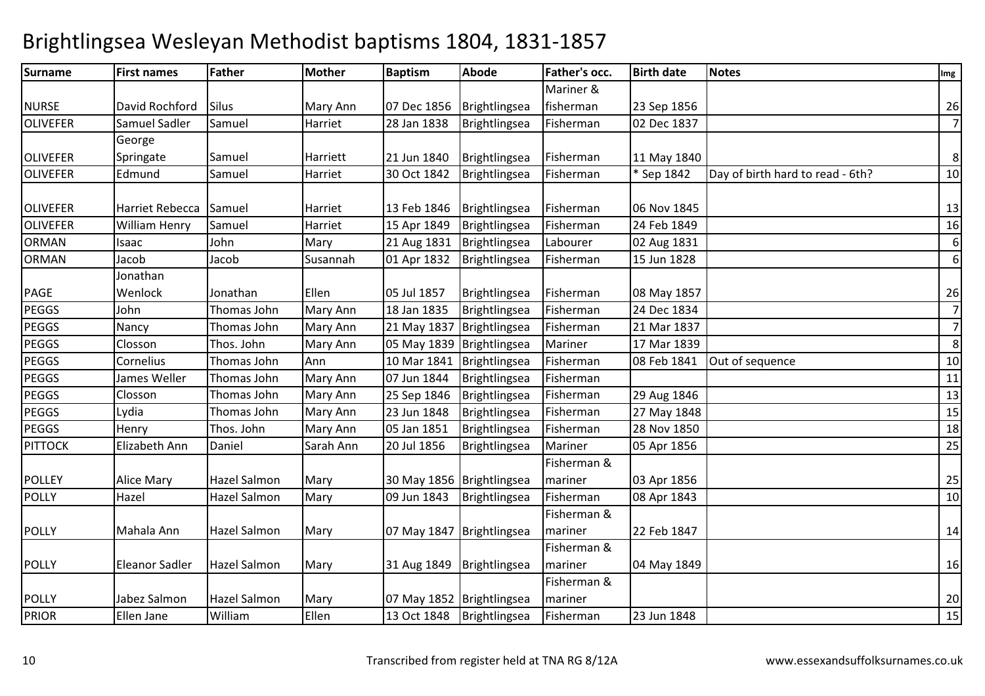| <b>Surname</b>  | <b>First names</b>     | <b>Father</b>       | <b>Mother</b> | <b>Baptism</b>            | Abode                     | Father's occ. | <b>Birth date</b> | <b>Notes</b>                     | Img            |
|-----------------|------------------------|---------------------|---------------|---------------------------|---------------------------|---------------|-------------------|----------------------------------|----------------|
|                 |                        |                     |               |                           |                           | Mariner &     |                   |                                  |                |
| <b>NURSE</b>    | David Rochford         | <b>Silus</b>        | Mary Ann      | 07 Dec 1856               | Brightlingsea             | fisherman     | 23 Sep 1856       |                                  | 26             |
| <b>OLIVEFER</b> | Samuel Sadler          | Samuel              | Harriet       | 28 Jan 1838               | Brightlingsea             | Fisherman     | 02 Dec 1837       |                                  | $\overline{7}$ |
|                 | George                 |                     |               |                           |                           |               |                   |                                  |                |
| <b>OLIVEFER</b> | Springate              | Samuel              | Harriett      | 21 Jun 1840               | Brightlingsea             | Fisherman     | 11 May 1840       |                                  | 8              |
| <b>OLIVEFER</b> | Edmund                 | Samuel              | Harriet       | 30 Oct 1842               | Brightlingsea             | Fisherman     | * Sep 1842        | Day of birth hard to read - 6th? | 10             |
|                 |                        |                     |               |                           |                           |               |                   |                                  |                |
| <b>OLIVEFER</b> | <b>Harriet Rebecca</b> | Samuel              | Harriet       | 13 Feb 1846               | Brightlingsea             | Fisherman     | 06 Nov 1845       |                                  | 13             |
| <b>OLIVEFER</b> | <b>William Henry</b>   | Samuel              | Harriet       | 15 Apr 1849               | Brightlingsea             | Fisherman     | 24 Feb 1849       |                                  | 16             |
| ORMAN           | Isaac                  | John                | Mary          | 21 Aug 1831               | Brightlingsea             | Labourer      | 02 Aug 1831       |                                  | 6              |
| <b>ORMAN</b>    | Jacob                  | Jacob               | Susannah      | 01 Apr 1832               | Brightlingsea             | Fisherman     | 15 Jun 1828       |                                  | 6              |
|                 | Jonathan               |                     |               |                           |                           |               |                   |                                  |                |
| PAGE            | Wenlock                | Jonathan            | Ellen         | 05 Jul 1857               | Brightlingsea             | Fisherman     | 08 May 1857       |                                  | 26             |
| <b>PEGGS</b>    | John                   | Thomas John         | Mary Ann      | 18 Jan 1835               | Brightlingsea             | Fisherman     | 24 Dec 1834       |                                  | $\overline{7}$ |
| PEGGS           | Nancy                  | Thomas John         | Mary Ann      | 21 May 1837               | Brightlingsea             | Fisherman     | 21 Mar 1837       |                                  | $\overline{7}$ |
| PEGGS           | Closson                | Thos. John          | Mary Ann      | 05 May 1839 Brightlingsea |                           | Mariner       | 17 Mar 1839       |                                  | 8              |
| PEGGS           | Cornelius              | Thomas John         | Ann           | 10 Mar 1841               | Brightlingsea             | Fisherman     | 08 Feb 1841       | Out of sequence                  | 10             |
| PEGGS           | James Weller           | Thomas John         | Mary Ann      | 07 Jun 1844               | Brightlingsea             | Fisherman     |                   |                                  | 11             |
| PEGGS           | Closson                | Thomas John         | Mary Ann      | 25 Sep 1846               | Brightlingsea             | Fisherman     | 29 Aug 1846       |                                  | 13             |
| PEGGS           | Lydia                  | Thomas John         | Mary Ann      | 23 Jun 1848               | Brightlingsea             | Fisherman     | 27 May 1848       |                                  | 15             |
| <b>PEGGS</b>    | Henry                  | Thos. John          | Mary Ann      | 05 Jan 1851               | Brightlingsea             | Fisherman     | 28 Nov 1850       |                                  | 18             |
| <b>PITTOCK</b>  | Elizabeth Ann          | Daniel              | Sarah Ann     | 20 Jul 1856               | Brightlingsea             | Mariner       | 05 Apr 1856       |                                  | 25             |
|                 |                        |                     |               |                           |                           | Fisherman &   |                   |                                  |                |
| <b>POLLEY</b>   | <b>Alice Mary</b>      | <b>Hazel Salmon</b> | Mary          |                           | 30 May 1856 Brightlingsea | mariner       | 03 Apr 1856       |                                  | 25             |
| <b>POLLY</b>    | Hazel                  | Hazel Salmon        | Mary          | 09 Jun 1843               | Brightlingsea             | Fisherman     | 08 Apr 1843       |                                  | 10             |
|                 |                        |                     |               |                           |                           | Fisherman &   |                   |                                  |                |
| <b>POLLY</b>    | Mahala Ann             | <b>Hazel Salmon</b> | Mary          | 07 May 1847               | Brightlingsea             | mariner       | 22 Feb 1847       |                                  | 14             |
|                 |                        |                     |               |                           |                           | Fisherman &   |                   |                                  |                |
| <b>POLLY</b>    | <b>Eleanor Sadler</b>  | <b>Hazel Salmon</b> | Mary          | 31 Aug 1849               | Brightlingsea             | mariner       | 04 May 1849       |                                  | 16             |
|                 |                        |                     |               |                           |                           | Fisherman &   |                   |                                  |                |
| <b>POLLY</b>    | Jabez Salmon           | <b>Hazel Salmon</b> | Mary          | 07 May 1852 Brightlingsea |                           | mariner       |                   |                                  | 20             |
| <b>PRIOR</b>    | Ellen Jane             | William             | Ellen         | 13 Oct 1848               | Brightlingsea             | Fisherman     | 23 Jun 1848       |                                  | 15             |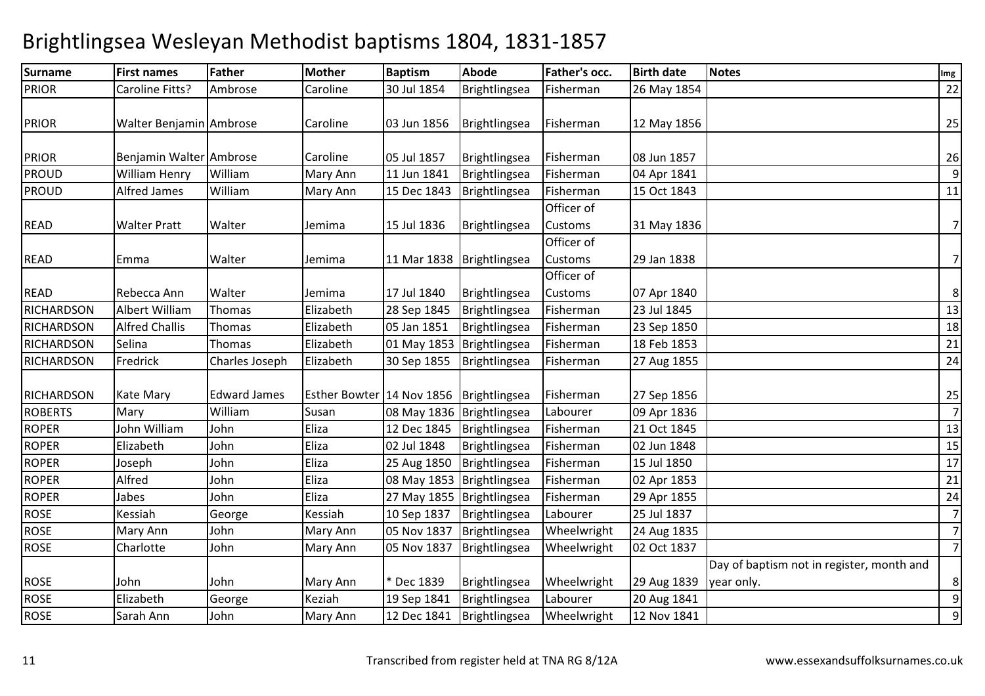| <b>Surname</b>    | <b>First names</b>      | <b>Father</b>       | <b>Mother</b>             | <b>Baptism</b> | Abode                       | Father's occ.                | <b>Birth date</b> | <b>Notes</b>                                            | Img            |
|-------------------|-------------------------|---------------------|---------------------------|----------------|-----------------------------|------------------------------|-------------------|---------------------------------------------------------|----------------|
| <b>PRIOR</b>      | Caroline Fitts?         | Ambrose             | Caroline                  | 30 Jul 1854    | Brightlingsea               | Fisherman                    | 26 May 1854       |                                                         | 22             |
| <b>PRIOR</b>      | Walter Benjamin Ambrose |                     | Caroline                  | 03 Jun 1856    | Brightlingsea               | Fisherman                    | 12 May 1856       |                                                         | 25             |
| <b>PRIOR</b>      | Benjamin Walter Ambrose |                     | Caroline                  | 05 Jul 1857    | Brightlingsea               | Fisherman                    | 08 Jun 1857       |                                                         | 26             |
| <b>PROUD</b>      | William Henry           | William             | Mary Ann                  | 11 Jun 1841    | Brightlingsea               | Fisherman                    | 04 Apr 1841       |                                                         | 9              |
| <b>PROUD</b>      | <b>Alfred James</b>     | William             | Mary Ann                  | 15 Dec 1843    | Brightlingsea               | Fisherman                    | 15 Oct 1843       |                                                         | 11             |
| <b>READ</b>       | <b>Walter Pratt</b>     | Walter              | Jemima                    | 15 Jul 1836    | Brightlingsea               | Officer of<br>Customs        | 31 May 1836       |                                                         | $\overline{7}$ |
| <b>READ</b>       | Emma                    | Walter              | Jemima                    | 11 Mar 1838    | Brightlingsea               | Officer of<br>Customs        | 29 Jan 1838       |                                                         | $\overline{7}$ |
| <b>READ</b>       | Rebecca Ann             | Walter              | Jemima                    | 17 Jul 1840    | Brightlingsea               | Officer of<br><b>Customs</b> | 07 Apr 1840       |                                                         | 8              |
| <b>RICHARDSON</b> | <b>Albert William</b>   | Thomas              | Elizabeth                 | 28 Sep 1845    | Brightlingsea               | Fisherman                    | 23 Jul 1845       |                                                         | 13             |
| <b>RICHARDSON</b> | <b>Alfred Challis</b>   | Thomas              | Elizabeth                 | 05 Jan 1851    | Brightlingsea               | Fisherman                    | 23 Sep 1850       |                                                         | 18             |
| <b>RICHARDSON</b> | Selina                  | Thomas              | Elizabeth                 | 01 May 1853    | Brightlingsea               | Fisherman                    | 18 Feb 1853       |                                                         | 21             |
| <b>RICHARDSON</b> | Fredrick                | Charles Joseph      | Elizabeth                 | 30 Sep 1855    | Brightlingsea               | Fisherman                    | 27 Aug 1855       |                                                         | 24             |
| RICHARDSON        | Kate Mary               | <b>Edward James</b> | Esther Bowter 14 Nov 1856 |                | Brightlingsea               | Fisherman                    | 27 Sep 1856       |                                                         | 25             |
| <b>ROBERTS</b>    | Mary                    | William             | Susan                     |                | 08 May 1836   Brightlingsea | Labourer                     | 09 Apr 1836       |                                                         | $\overline{7}$ |
| <b>ROPER</b>      | John William            | John                | Eliza                     | 12 Dec 1845    | Brightlingsea               | Fisherman                    | 21 Oct 1845       |                                                         | 13             |
| <b>ROPER</b>      | Elizabeth               | John                | Eliza                     | 02 Jul 1848    | Brightlingsea               | Fisherman                    | 02 Jun 1848       |                                                         | 15             |
| <b>ROPER</b>      | Joseph                  | John                | Eliza                     | 25 Aug 1850    | Brightlingsea               | Fisherman                    | 15 Jul 1850       |                                                         | 17             |
| <b>ROPER</b>      | Alfred                  | John                | Eliza                     |                | 08 May 1853 Brightlingsea   | Fisherman                    | 02 Apr 1853       |                                                         | 21             |
| <b>ROPER</b>      | Jabes                   | John                | Eliza                     |                | 27 May 1855   Brightlingsea | Fisherman                    | 29 Apr 1855       |                                                         | 24             |
| <b>ROSE</b>       | Kessiah                 | George              | Kessiah                   | 10 Sep 1837    | Brightlingsea               | Labourer                     | 25 Jul 1837       |                                                         | 7              |
| <b>ROSE</b>       | Mary Ann                | John                | Mary Ann                  | 05 Nov 1837    | Brightlingsea               | Wheelwright                  | 24 Aug 1835       |                                                         | $\overline{7}$ |
| <b>ROSE</b>       | Charlotte               | John                | Mary Ann                  | 05 Nov 1837    | Brightlingsea               | Wheelwright                  | 02 Oct 1837       |                                                         | $\overline{7}$ |
| <b>ROSE</b>       | John                    | John                | Mary Ann                  | * Dec 1839     | Brightlingsea               | Wheelwright                  | 29 Aug 1839       | Day of baptism not in register, month and<br>year only. | 8              |
| <b>ROSE</b>       | Elizabeth               | George              | Keziah                    | 19 Sep 1841    | Brightlingsea               | Labourer                     | 20 Aug 1841       |                                                         | 9              |
| <b>ROSE</b>       | Sarah Ann               | John                | Mary Ann                  | 12 Dec 1841    | Brightlingsea               | Wheelwright                  | 12 Nov 1841       |                                                         | 9              |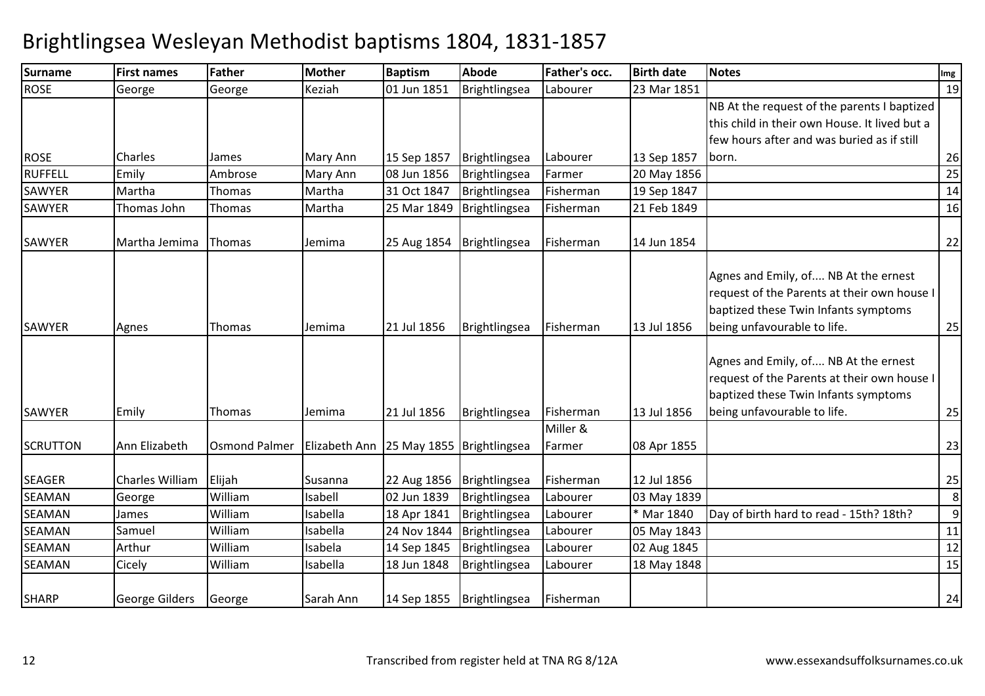| <b>Surname</b>  | <b>First names</b> | <b>Father</b>        | Mother                                      | <b>Baptism</b> | Abode         | Father's occ. | <b>Birth date</b> | <b>Notes</b>                                                                                                                                               | Img |
|-----------------|--------------------|----------------------|---------------------------------------------|----------------|---------------|---------------|-------------------|------------------------------------------------------------------------------------------------------------------------------------------------------------|-----|
| <b>ROSE</b>     | George             | George               | Keziah                                      | 01 Jun 1851    | Brightlingsea | Labourer      | 23 Mar 1851       |                                                                                                                                                            | 19  |
|                 |                    |                      |                                             |                |               |               |                   | NB At the request of the parents I baptized                                                                                                                |     |
|                 |                    |                      |                                             |                |               |               |                   | this child in their own House. It lived but a                                                                                                              |     |
|                 |                    |                      |                                             |                |               |               |                   | few hours after and was buried as if still                                                                                                                 |     |
| <b>ROSE</b>     | Charles            | James                | Mary Ann                                    | 15 Sep 1857    | Brightlingsea | Labourer      | 13 Sep 1857       | born.                                                                                                                                                      | 26  |
| RUFFELL         | Emily              | Ambrose              | Mary Ann                                    | 08 Jun 1856    | Brightlingsea | Farmer        | 20 May 1856       |                                                                                                                                                            | 25  |
| <b>SAWYER</b>   | Martha             | Thomas               | Martha                                      | 31 Oct 1847    | Brightlingsea | Fisherman     | 19 Sep 1847       |                                                                                                                                                            | 14  |
| <b>SAWYER</b>   | Thomas John        | Thomas               | Martha                                      | 25 Mar 1849    | Brightlingsea | Fisherman     | 21 Feb 1849       |                                                                                                                                                            | 16  |
| SAWYER          | Martha Jemima      | Thomas               | Jemima                                      | 25 Aug 1854    | Brightlingsea | Fisherman     | 14 Jun 1854       |                                                                                                                                                            | 22  |
| SAWYER          | Agnes              | Thomas               | Jemima                                      | 21 Jul 1856    | Brightlingsea | Fisherman     | 13 Jul 1856       | Agnes and Emily, of NB At the ernest<br>request of the Parents at their own house I<br>baptized these Twin Infants symptoms<br>being unfavourable to life. | 25  |
| <b>SAWYER</b>   | Emily              | Thomas               | Jemima                                      | 21 Jul 1856    | Brightlingsea | Fisherman     | 13 Jul 1856       | Agnes and Emily, of NB At the ernest<br>request of the Parents at their own house I<br>baptized these Twin Infants symptoms<br>being unfavourable to life. | 25  |
|                 |                    |                      |                                             |                |               | Miller &      |                   |                                                                                                                                                            |     |
| <b>SCRUTTON</b> | Ann Elizabeth      | <b>Osmond Palmer</b> | Elizabeth Ann   25 May 1855   Brightlingsea |                |               | Farmer        | 08 Apr 1855       |                                                                                                                                                            | 23  |
| <b>SEAGER</b>   | Charles William    | Elijah               | Susanna                                     | 22 Aug 1856    | Brightlingsea | Fisherman     | 12 Jul 1856       |                                                                                                                                                            | 25  |
| <b>SEAMAN</b>   | George             | William              | Isabell                                     | 02 Jun 1839    | Brightlingsea | Labourer      | 03 May 1839       |                                                                                                                                                            | 8   |
| <b>SEAMAN</b>   | James              | William              | Isabella                                    | 18 Apr 1841    | Brightlingsea | Labourer      | * Mar 1840        | Day of birth hard to read - 15th? 18th?                                                                                                                    | 9   |
| <b>SEAMAN</b>   | Samuel             | William              | Isabella                                    | 24 Nov 1844    | Brightlingsea | Labourer      | 05 May 1843       |                                                                                                                                                            | 11  |
| <b>SEAMAN</b>   | Arthur             | William              | Isabela                                     | 14 Sep 1845    | Brightlingsea | Labourer      | 02 Aug 1845       |                                                                                                                                                            | 12  |
| <b>SEAMAN</b>   | Cicely             | William              | Isabella                                    | 18 Jun 1848    | Brightlingsea | Labourer      | 18 May 1848       |                                                                                                                                                            | 15  |
| <b>SHARP</b>    | George Gilders     | George               | Sarah Ann                                   | 14 Sep 1855    | Brightlingsea | Fisherman     |                   |                                                                                                                                                            | 24  |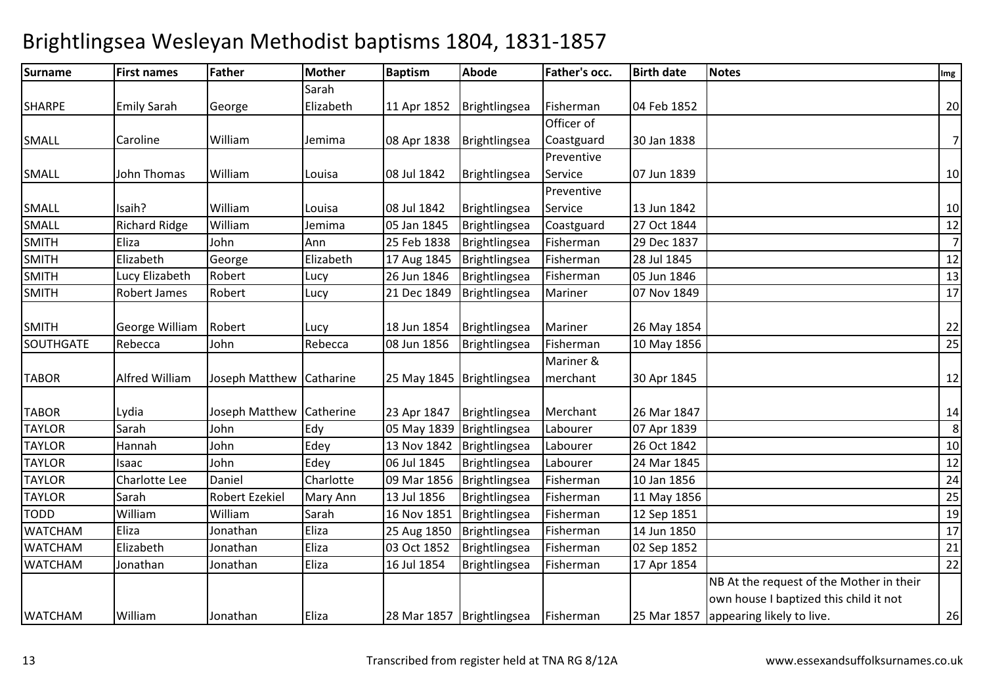| <b>Surname</b>   | <b>First names</b>   | Father                   | <b>Mother</b> | <b>Baptism</b>              | <b>Abode</b>                | Father's occ. | <b>Birth date</b> | <b>Notes</b>                             | Img            |
|------------------|----------------------|--------------------------|---------------|-----------------------------|-----------------------------|---------------|-------------------|------------------------------------------|----------------|
|                  |                      |                          | Sarah         |                             |                             |               |                   |                                          |                |
| <b>SHARPE</b>    | <b>Emily Sarah</b>   | George                   | Elizabeth     | 11 Apr 1852                 | Brightlingsea               | Fisherman     | 04 Feb 1852       |                                          | 20             |
|                  |                      |                          |               |                             |                             | Officer of    |                   |                                          |                |
| <b>SMALL</b>     | Caroline             | William                  | Jemima        | 08 Apr 1838                 | Brightlingsea               | Coastguard    | 30 Jan 1838       |                                          | $\overline{7}$ |
|                  |                      |                          |               |                             |                             | Preventive    |                   |                                          |                |
| <b>SMALL</b>     | John Thomas          | William                  | Louisa        | 08 Jul 1842                 | Brightlingsea               | Service       | 07 Jun 1839       |                                          | 10             |
|                  |                      |                          |               |                             |                             | Preventive    |                   |                                          |                |
| <b>SMALL</b>     | Isaih?               | William                  | Louisa        | 08 Jul 1842                 | Brightlingsea               | Service       | 13 Jun 1842       |                                          | 10             |
| <b>SMALL</b>     | <b>Richard Ridge</b> | William                  | Jemima        | 05 Jan 1845                 | Brightlingsea               | Coastguard    | 27 Oct 1844       |                                          | 12             |
| <b>SMITH</b>     | Eliza                | John                     | Ann           | 25 Feb 1838                 | Brightlingsea               | Fisherman     | 29 Dec 1837       |                                          | $\overline{7}$ |
| <b>SMITH</b>     | Elizabeth            | George                   | Elizabeth     | 17 Aug 1845                 | Brightlingsea               | Fisherman     | 28 Jul 1845       |                                          | 12             |
| SMITH            | Lucy Elizabeth       | Robert                   | Lucy          | 26 Jun 1846                 | Brightlingsea               | Fisherman     | 05 Jun 1846       |                                          | 13             |
| <b>SMITH</b>     | Robert James         | Robert                   | Lucy          | 21 Dec 1849                 | Brightlingsea               | Mariner       | 07 Nov 1849       |                                          | 17             |
| <b>SMITH</b>     | George William       | Robert                   | Lucy          | 18 Jun 1854                 | Brightlingsea               | Mariner       | 26 May 1854       |                                          | 22             |
| <b>SOUTHGATE</b> | Rebecca              | John                     | Rebecca       | 08 Jun 1856                 | Brightlingsea               | Fisherman     | 10 May 1856       |                                          | 25             |
|                  |                      |                          |               |                             |                             | Mariner &     |                   |                                          |                |
| <b>TABOR</b>     | Alfred William       | Joseph Matthew Catharine |               | 25 May 1845   Brightlingsea |                             | merchant      | 30 Apr 1845       |                                          | 12             |
| <b>TABOR</b>     | Lydia                | Joseph Matthew Catherine |               | 23 Apr 1847                 | Brightlingsea               | Merchant      | 26 Mar 1847       |                                          | 14             |
| <b>TAYLOR</b>    | Sarah                | John                     | Edy           |                             | 05 May 1839   Brightlingsea | Labourer      | 07 Apr 1839       |                                          | 8              |
| <b>TAYLOR</b>    | Hannah               | John                     | Edey          | 13 Nov 1842                 | Brightlingsea               | Labourer      | 26 Oct 1842       |                                          | 10             |
| <b>TAYLOR</b>    | Isaac                | John                     | Edey          | 06 Jul 1845                 | Brightlingsea               | Labourer      | 24 Mar 1845       |                                          | 12             |
| <b>TAYLOR</b>    | Charlotte Lee        | Daniel                   | Charlotte     | 09 Mar 1856                 | Brightlingsea               | Fisherman     | 10 Jan 1856       |                                          | 24             |
| <b>TAYLOR</b>    | Sarah                | <b>Robert Ezekiel</b>    | Mary Ann      | 13 Jul 1856                 | Brightlingsea               | Fisherman     | 11 May 1856       |                                          | 25             |
| <b>TODD</b>      | William              | William                  | Sarah         | 16 Nov 1851                 | Brightlingsea               | Fisherman     | 12 Sep 1851       |                                          | 19             |
| <b>WATCHAM</b>   | Eliza                | Jonathan                 | Eliza         | 25 Aug 1850                 | Brightlingsea               | Fisherman     | 14 Jun 1850       |                                          | 17             |
| <b>WATCHAM</b>   | Elizabeth            | Jonathan                 | Eliza         | 03 Oct 1852                 | Brightlingsea               | Fisherman     | 02 Sep 1852       |                                          | 21             |
| <b>WATCHAM</b>   | Jonathan             | Jonathan                 | Eliza         | 16 Jul 1854                 | Brightlingsea               | Fisherman     | 17 Apr 1854       |                                          | 22             |
|                  |                      |                          |               |                             |                             |               |                   | NB At the request of the Mother in their |                |
|                  |                      |                          |               |                             |                             |               |                   | own house I baptized this child it not   |                |
| <b>WATCHAM</b>   | William              | Jonathan                 | Eliza         |                             | 28 Mar 1857   Brightlingsea | Fisherman     | 25 Mar 1857       | appearing likely to live.                | 26             |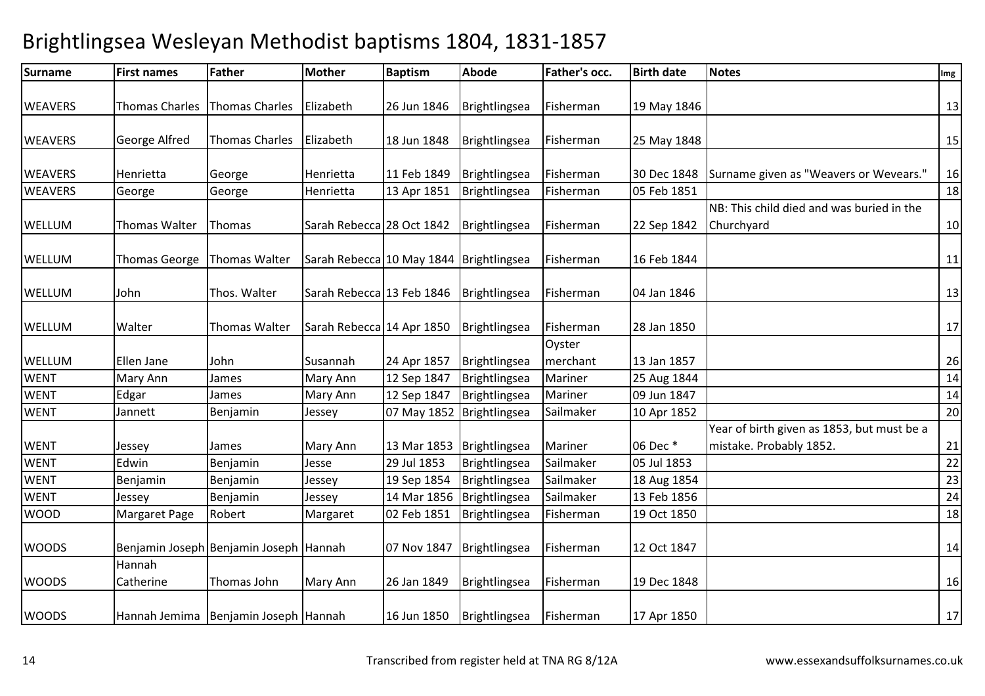| <b>Surname</b> | <b>First names</b>    | Father                                 | <b>Mother</b>                             | <b>Baptism</b> | Abode                       | Father's occ.      | <b>Birth date</b> | <b>Notes</b>                                                          | Img |
|----------------|-----------------------|----------------------------------------|-------------------------------------------|----------------|-----------------------------|--------------------|-------------------|-----------------------------------------------------------------------|-----|
| <b>WEAVERS</b> | <b>Thomas Charles</b> | Thomas Charles                         | Elizabeth                                 | 26 Jun 1846    | Brightlingsea               | Fisherman          | 19 May 1846       |                                                                       | 13  |
| <b>WEAVERS</b> | George Alfred         | <b>Thomas Charles</b>                  | Elizabeth                                 | 18 Jun 1848    | Brightlingsea               | Fisherman          | 25 May 1848       |                                                                       | 15  |
| <b>WEAVERS</b> | Henrietta             | George                                 | Henrietta                                 | 11 Feb 1849    | Brightlingsea               | Fisherman          | 30 Dec 1848       | Surname given as "Weavers or Wevears."                                | 16  |
| <b>WEAVERS</b> | George                | George                                 | Henrietta                                 | 13 Apr 1851    | Brightlingsea               | Fisherman          | 05 Feb 1851       |                                                                       | 18  |
| <b>WELLUM</b>  | <b>Thomas Walter</b>  | Thomas                                 | Sarah Rebecca 28 Oct 1842                 |                | Brightlingsea               | Fisherman          | 22 Sep 1842       | NB: This child died and was buried in the<br>Churchyard               | 10  |
| <b>WELLUM</b>  | <b>Thomas George</b>  | Thomas Walter                          | Sarah Rebecca 10 May 1844   Brightlingsea |                |                             | Fisherman          | 16 Feb 1844       |                                                                       | 11  |
| <b>WELLUM</b>  | John                  | Thos. Walter                           | Sarah Rebecca 13 Feb 1846                 |                | Brightlingsea               | Fisherman          | 04 Jan 1846       |                                                                       | 13  |
| WELLUM         | Walter                | <b>Thomas Walter</b>                   | Sarah Rebecca 14 Apr 1850                 |                | Brightlingsea               | Fisherman          | 28 Jan 1850       |                                                                       | 17  |
| WELLUM         | Ellen Jane            | John                                   | Susannah                                  | 24 Apr 1857    | Brightlingsea               | Oyster<br>merchant | 13 Jan 1857       |                                                                       | 26  |
| <b>WENT</b>    | <b>Mary Ann</b>       | James                                  | Mary Ann                                  | 12 Sep 1847    | Brightlingsea               | Mariner            | 25 Aug 1844       |                                                                       | 14  |
| <b>WENT</b>    | Edgar                 | James                                  | Mary Ann                                  | 12 Sep 1847    | Brightlingsea               | Mariner            | 09 Jun 1847       |                                                                       | 14  |
| <b>WENT</b>    | Jannett               | Benjamin                               | Jessey                                    | 07 May 1852    | Brightlingsea               | Sailmaker          | 10 Apr 1852       |                                                                       | 20  |
| <b>WENT</b>    | Jessey                | James                                  | Mary Ann                                  |                | 13 Mar 1853   Brightlingsea | Mariner            | 06 Dec *          | Year of birth given as 1853, but must be a<br>mistake. Probably 1852. | 21  |
| <b>WENT</b>    | Edwin                 | Benjamin                               | Jesse                                     | 29 Jul 1853    | Brightlingsea               | Sailmaker          | 05 Jul 1853       |                                                                       | 22  |
| <b>WENT</b>    | Benjamin              | Benjamin                               | Jessey                                    | 19 Sep 1854    | Brightlingsea               | Sailmaker          | 18 Aug 1854       |                                                                       | 23  |
| <b>WENT</b>    | Jessey                | Benjamin                               | Jessey                                    | 14 Mar 1856    | Brightlingsea               | Sailmaker          | 13 Feb 1856       |                                                                       | 24  |
| <b>WOOD</b>    | <b>Margaret Page</b>  | Robert                                 | Margaret                                  | 02 Feb 1851    | Brightlingsea               | Fisherman          | 19 Oct 1850       |                                                                       | 18  |
| <b>WOODS</b>   |                       | Benjamin Joseph Benjamin Joseph Hannah |                                           | 07 Nov 1847    | Brightlingsea               | Fisherman          | 12 Oct 1847       |                                                                       | 14  |
| <b>WOODS</b>   | Hannah<br>Catherine   | Thomas John                            | <b>Mary Ann</b>                           | 26 Jan 1849    | Brightlingsea               | Fisherman          | 19 Dec 1848       |                                                                       | 16  |
| <b>WOODS</b>   |                       | Hannah Jemima Benjamin Joseph Hannah   |                                           | 16 Jun 1850    | Brightlingsea               | Fisherman          | 17 Apr 1850       |                                                                       | 17  |